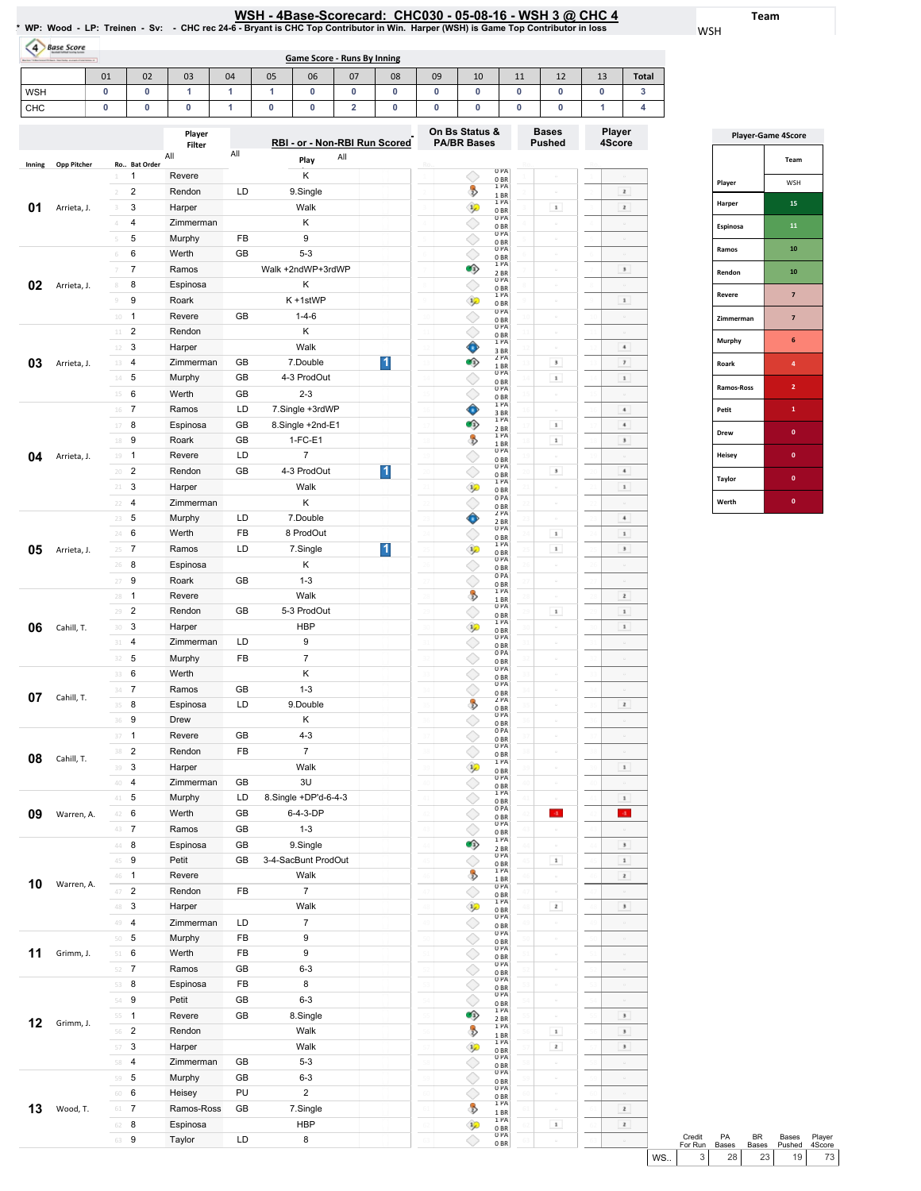| NOSH - 4Base-Scorecard: CHC030 - 05-08-16 - WSH 3 @ CHC 4                                                                          |  |
|------------------------------------------------------------------------------------------------------------------------------------|--|
| * WP: Wood - LP: Treinen - Sv: - CHC rec 24-6 - Bryant is CHC Top Contributor in Win. Harper (WSH) is Game Top Contributor in loss |  |

Team WSH

|            |                    | 01             | 02               | 03         | 04  | 05      | <b>Game Score - Runs By Inning</b><br>06 | 07             | 08                            | 09 | 10                         | 11                                         |    | 12                       | 13 |                      | <b>Total</b> |
|------------|--------------------|----------------|------------------|------------|-----|---------|------------------------------------------|----------------|-------------------------------|----|----------------------------|--------------------------------------------|----|--------------------------|----|----------------------|--------------|
| <b>WSH</b> |                    | 0              | 0                | 1          | 1   | 1       | 0                                        | 0              | $\pmb{0}$                     | 0  | 0                          | 0                                          |    | 0                        | 0  |                      | 3            |
| СНС        |                    | 0              | 0                | 0          | 1   | 0       | 0                                        | $\overline{2}$ | 0                             | 0  | 0                          | 0                                          |    | 0                        | 1  |                      | 4            |
|            |                    |                |                  |            |     |         |                                          |                |                               |    |                            |                                            |    |                          |    |                      |              |
|            |                    |                |                  | Player     |     |         |                                          |                |                               |    | On Bs Status &             |                                            |    | <b>Bases</b>             |    | Player               |              |
|            |                    |                |                  | Filter     | All |         |                                          |                | RBI - or - Non-RBI Run Scored |    | <b>PA/BR Bases</b>         |                                            |    | <b>Pushed</b>            |    | 4Score               |              |
| Inning     | <b>Opp Pitcher</b> |                | Ro Bat Order     | All        |     |         | Play                                     | All            |                               |    |                            |                                            |    |                          |    |                      |              |
|            |                    | $\mathbb{1}$   | $\mathbf{1}$     | Revere     |     |         | Κ                                        |                |                               |    | ◇                          | 0 PA<br>0BR                                |    |                          |    |                      |              |
|            |                    | $\overline{2}$ | $\overline{2}$   | Rendon     | LD  |         | 9.Single                                 |                |                               |    | $\ddot{\psi}$              | 1PA<br>$1\,\mathrm{BR}$                    |    |                          |    | $\mathbf{z}$         |              |
| 01         | Arrieta, J.        | 3              | 3                | Harper     |     |         | Walk                                     |                |                               |    | $\mathcal{P}$              | 1 PA<br>0 <sub>BR</sub>                    |    | $\mathbf{1}$             |    | $\bar{\mathbf{z}}$   |              |
|            |                    | $\triangle$    | $\overline{4}$   | Zimmerman  |     |         | K                                        |                |                               |    |                            | 0 PA<br>0BR                                |    |                          |    |                      |              |
|            |                    | 5              | 5                | Murphy     | FB  |         | 9                                        |                |                               |    | ◇                          | 0 <sub>PA</sub><br>0 <sub>BR</sub>         |    |                          |    |                      |              |
|            |                    | 6              | 6                | Werth      | GB  |         | $5 - 3$                                  |                |                               |    | ◇                          | 0 <sub>PA</sub>                            |    | $\alpha$                 |    |                      |              |
|            |                    | 7              | $\overline{7}$   | Ramos      |     |         | Walk +2ndWP+3rdWP                        |                |                               |    | ¢                          | 0BR<br>1 PA                                |    |                          |    | $\,$ $\,$            |              |
| 02         | Arrieta, J.        | 8              | 8                | Espinosa   |     |         | ĸ                                        |                |                               |    |                            | 2 BR<br>0PA                                |    |                          |    |                      |              |
|            |                    | 9              | 9                | Roark      |     | K+1stWP |                                          |                |                               |    | $\mathbf{1}_{\mathcal{P}}$ | 0BR<br>1 PA                                |    |                          |    | $\,$ 1 $\,$          |              |
|            |                    | $10\,$         | $\overline{1}$   | Revere     | GB  |         | $1 - 4 - 6$                              |                |                               |    |                            | 0BR<br>0 PA                                |    |                          |    |                      |              |
|            |                    |                |                  |            |     |         | K                                        |                |                               |    |                            | 0BR<br>0PA                                 | 10 |                          |    |                      |              |
|            |                    | $11\,$         | $\overline{2}$   | Rendon     |     |         |                                          |                |                               |    | ⊙                          | 0 <sub>BR</sub><br>1 PA                    |    | $\alpha$                 |    |                      |              |
|            |                    | 12             | 3                | Harper     |     |         | Walk                                     |                |                               |    | Ĝ                          | 3BR<br>2 PA                                | Ľ  |                          |    | $\ddot{\phantom{1}}$ |              |
| 03         | Arrieta, J.        | 13             | $\overline{4}$   | Zimmerman  | GB  |         | 7.Double                                 |                | $\vert$                       |    | G)                         | $\frac{1}{0}$ BR                           |    | $\overline{\mathbf{3}}$  |    | $\tau$               |              |
|            |                    | 14             | 5                | Murphy     | GB  |         | 4-3 ProdOut                              |                |                               |    |                            | 0 <sub>BR</sub><br>0PA                     |    | $\,$ 1 $\,$              |    | $\,$ $\,$            |              |
|            |                    | 15             | 6                | Werth      | GB  |         | $2 - 3$                                  |                |                               |    | ⊙                          | 0 <sub>BR</sub>                            |    |                          |    |                      |              |
|            |                    | 16             | $\overline{7}$   | Ramos      | LD  |         | 7.Single +3rdWP                          |                |                               |    | ♦                          | 1PA<br>3 BR<br>1 PA                        | 1ť |                          |    | $\,$ 4 $\,$          |              |
|            |                    | $17\,$         | 8                | Espinosa   | GB  |         | 8.Single +2nd-E1                         |                |                               |    | 喹                          | 2 BR                                       |    | $\mathbf{1}$             |    | $\,$ 4 $\,$          |              |
|            |                    | 18             | 9                | Roark      | GB  |         | $1-FC-E1$                                |                |                               |    | $\rightarrow$              | 1PA<br>1BR                                 | 13 | $\,$ 1 $\,$              |    | $\ddot{\text{s}}$    |              |
| 04         | Arrieta, J.        | 19             | $\mathbf{1}$     | Revere     | LD  |         | $\overline{7}$                           |                |                               | 19 |                            | 0PA<br>0 <sub>BR</sub>                     | 19 |                          |    |                      |              |
|            |                    | 20             | $\overline{2}$   | Rendon     | GB  |         | 4-3 ProdOut                              |                | $\blacksquare$                |    | ◇                          | 0 PA                                       |    | $\overline{\mathbf{3}}$  |    | $\,$ 4 $\,$          |              |
|            |                    | 21             | 3                | Harper     |     |         | Walk                                     |                |                               |    | $\mathcal{P}$              | 0 <sub>BR</sub><br>1 PA<br>0 <sub>BR</sub> |    |                          |    | $\mathbf 1$          |              |
|            |                    | 22             | 4                | Zimmerman  |     |         | K                                        |                |                               |    |                            | 0 PA                                       |    |                          |    |                      |              |
|            |                    | 23             | 5                | Murphy     | LD  |         | 7.Double                                 |                |                               |    |                            | 0 <sub>BR</sub><br>2 PA                    | ż  |                          |    | $\,$ 4 $\,$          |              |
|            |                    |                | 6                | Werth      | FB  |         | 8 ProdOut                                |                |                               |    |                            | 2 BR<br>0 PA                               |    | $\,$ 1 $\,$              |    | $\,$ 1 $\,$          |              |
|            |                    | 24             |                  |            |     |         |                                          |                |                               |    |                            | $0BR$<br>$1PA$                             |    |                          |    |                      |              |
| 05         | Arrieta, J.        | 25             | $\overline{7}$   | Ramos      | LD  |         | 7.Single                                 |                | $\blacksquare$                |    | $\mathcal{P}$              | 0 <sub>BR</sub><br>0 <sub>PA</sub>         |    | $\,$ 1 $\,$              |    | $\,$ $\,$            |              |
|            |                    | 26             | 8                | Espinosa   |     |         | Κ                                        |                |                               |    | ◇                          | 0BR<br>0 PA                                | 26 |                          |    |                      |              |
|            |                    | 27             | 9                | Roark      | GB  |         | $1 - 3$                                  |                |                               |    | ◇                          | 0 <sub>BR</sub><br>1 PA                    |    |                          |    |                      |              |
|            |                    | 28             | $\overline{1}$   | Revere     |     |         | Walk                                     |                |                               |    | $\rightarrow$              | 1 BR                                       |    |                          |    | $\mathbf{z}$         |              |
|            |                    | 29             | $\overline{2}$   | Rendon     | GB  |         | 5-3 ProdOut                              |                |                               |    |                            | 0PA<br>0 <sub>BR</sub>                     | 2S | $\,$ 1 $\,$              |    | $\,$ $\,$            |              |
| 06         | Cahill, T.         | 30             | 3                | Harper     |     |         | <b>HBP</b>                               |                |                               | ٩r | ۹                          | 1 PA<br>0 <sub>BR</sub>                    | 30 |                          |    | $\,$ 1 $\,$          |              |
|            |                    | 31             | $\overline{4}$   | Zimmerman  | LD  |         | 9                                        |                |                               |    |                            | 0 <sub>PA</sub><br>0 <sub>BR</sub>         | 31 |                          |    |                      |              |
|            |                    | 32             | 5                | Murphy     | FB  |         | $\overline{7}$                           |                |                               |    |                            | 0 PA<br>0 <sub>BR</sub>                    | 32 | $\alpha$                 |    |                      |              |
|            |                    | 33             | 6                | Werth      |     |         | Κ                                        |                |                               |    |                            | 0 <sub>PA</sub><br>0BR                     | 33 |                          |    |                      |              |
|            |                    | 34             | 7                | Ramos      | GB  |         | $1 - 3$                                  |                |                               | 34 |                            | 0 PA<br>0 <sub>BR</sub>                    | 34 | $\alpha$                 |    |                      |              |
| 07         | Cahill. T.         | 35             | 8                | Espinosa   | LD  |         | 9.Double                                 |                |                               |    | $\frac{1}{2}$              | 2 PA<br>0 <sub>BR</sub>                    |    |                          |    | $\mathbf{z}$         |              |
|            |                    | 36             | 9                | Drew       |     |         | Κ                                        |                |                               |    |                            | 0 PA                                       |    |                          |    |                      |              |
|            |                    | 37             | $\mathbf{1}$     | Revere     | GB  |         | $4 - 3$                                  |                |                               | 35 |                            | 0 <sub>BR</sub><br>0PA                     | 37 | $\alpha$                 |    |                      |              |
|            |                    | 38             | $\sqrt{2}$       | Rendon     | FB  |         | $\overline{7}$                           |                |                               | 38 |                            | 0 BR<br>0 PA                               | 38 | $\alpha$                 |    |                      |              |
| 08         | Cahill, T.         |                |                  |            |     |         |                                          |                |                               |    |                            | 0 <sub>BR</sub><br>1 PA                    |    |                          |    |                      |              |
|            |                    | 39             | $\mathbf{3}$     | Harper     |     |         | Walk                                     |                |                               | 3¢ | $\mathbf{1}_{\mathcal{L}}$ | $0BR$<br>$0PA$                             | 39 | $\alpha$                 |    | $\,$ $\,$            |              |
|            |                    | 40             | $\overline{4}$   | Zimmerman  | GB  |         | 3U                                       |                |                               |    |                            | 0 <sub>BR</sub><br>1 PA                    | 40 | $\sim$                   |    |                      |              |
|            |                    | 41             | 5                | Murphy     | LD  |         | 8.Single +DP'd-6-4-3                     |                |                               | 41 |                            | 0 BR<br>0 PA                               | 41 | $\sim$                   |    | $\,$ 1               |              |
| 09         | Warren, A.         | 42             | 6                | Werth      | GB  |         | 6-4-3-DP                                 |                |                               | 45 | ◇                          | 0 BR<br>0 PA                               | 42 | $\langle {\bf 4}\rangle$ |    | $\mathbf{4}$         |              |
|            |                    | 43             | $\overline{7}$   | Ramos      | GB  |         | $1 - 3$                                  |                |                               | 43 | ◇                          | 0 <sub>BR</sub><br>1 PA                    | 43 |                          |    |                      |              |
|            |                    | 44             | 8                | Espinosa   | GB  |         | 9.Single                                 |                |                               | 44 | $\bullet$                  | 2 BR<br>0 PA                               | 44 |                          |    | $\,$ $\,$            |              |
|            |                    | 45             | 9                | Petit      | GB  |         | 3-4-SacBunt ProdOut                      |                |                               |    |                            | 0 BR<br>1 PA                               | 45 | $\,$ 1 $\,$              |    | $\,$ 1 $\,$          |              |
| 10         | Warren, A.         | 46             | $\mathbf{1}$     | Revere     |     |         | Walk                                     |                |                               | 46 | $\rightarrow$              | 1BR                                        | 46 |                          |    | $\mathbf{z}$         |              |
|            |                    | 47             | $\overline{2}$   | Rendon     | FB  |         | $\overline{7}$                           |                |                               |    |                            | 0 PA<br>$0BR$<br>$1PA$                     | ă. |                          |    |                      |              |
|            |                    | 48             | 3                | Harper     |     |         | Walk                                     |                |                               | 48 | ۹                          | 0 BR<br>0 PA                               | 48 | $\mathbf{z}$             |    | $\ddot{\textbf{3}}$  |              |
|            |                    | 49             | $\overline{4}$   | Zimmerman  | LD  |         | $\overline{7}$                           |                |                               | 49 |                            | 0 <sub>BR</sub>                            | 49 |                          |    |                      |              |
|            |                    | 50             | 5                | Murphy     | FB  |         | 9                                        |                |                               |    |                            | 0 <sub>PA</sub><br>0 <sub>BR</sub>         | 50 | $\alpha$                 |    |                      |              |
| 11         | Grimm, J.          | 51             | $\,6\,$          | Werth      | FB  |         | 9                                        |                |                               |    | ◇                          | 0 <sub>PA</sub>                            | 51 | $\overline{\omega}$      |    |                      |              |
|            |                    | 52             | $\overline{7}$   | Ramos      | GB  |         | $6 - 3$                                  |                |                               |    |                            | 0 BR<br>0 PA                               | 52 | $\omega$                 |    |                      |              |
|            |                    | 53             | 8                | Espinosa   | FB  |         | 8                                        |                |                               |    | ◇                          | $0 BR$<br>$0 PA$                           |    | $\sim$                   |    |                      |              |
|            |                    | 54             | $\boldsymbol{9}$ | Petit      | GB  |         | $6 - 3$                                  |                |                               |    |                            | 0 <sub>BR</sub><br>0 <sub>PA</sub>         | 54 | $\sim$                   |    |                      |              |
|            |                    | 55             | $\mathbf{1}$     | Revere     | GB  |         |                                          |                |                               |    | C)                         | 0 <sub>BR</sub><br>1 PA                    | 51 |                          |    | $\ddot{\textbf{3}}$  |              |
| 12         | Grimm, J.          |                |                  |            |     |         | 8.Single                                 |                |                               |    |                            | 2 BR<br>1 PA                               |    |                          |    |                      |              |
|            |                    | 56             | $\sqrt{2}$       | Rendon     |     |         | Walk                                     |                |                               |    | $\ddot{\psi}$              | 1 BR<br>1 PA                               |    | $\,$ 1 $\,$              |    | $\,$                 |              |
|            |                    | 57             | 3                | Harper     |     |         | Walk                                     |                |                               |    | ٩                          | $0BR$<br>$0PA$                             |    | $\overline{2}$           |    | $\,$ $\,$            |              |
|            |                    | 58             | $\overline{4}$   | Zimmerman  | GB  |         | $5 - 3$                                  |                |                               |    |                            | 0 BR<br>0 PA                               | 55 |                          |    |                      |              |
|            |                    | 59             | 5                | Murphy     | GB  |         | $6 - 3$                                  |                |                               | 59 | ◇                          | 0 BR<br>0 PA                               | 59 | $\omega$                 |    |                      |              |
|            |                    | 60             | $\,6\,$          | Heisey     | PU  |         | $\overline{2}$                           |                |                               |    | ◇                          | 0 BR<br>1 PA                               | 60 | $\alpha$                 |    |                      |              |
| 13         | Wood, T.           | 61             | $\overline{7}$   | Ramos-Ross | GB  |         | 7.Single                                 |                |                               |    | $\frac{1}{2}$              | 1BR                                        | 61 | $\alpha$                 |    | $\mathbf{z}$         |              |
|            |                    | 62             | 8                | Espinosa   |     |         | <b>HBP</b>                               |                |                               |    | $\mathcal{P}$              | 1 PA                                       |    | $\,$ 1 $\,$              |    | $\mathbf{z}$         |              |
|            |                    | 63             | 9                | Taylor     | LD  |         | 8                                        |                |                               |    |                            | $0BR$<br>$0PA$<br>0BR                      |    |                          |    |                      |              |

|               | <b>Player-Game 4Score</b> |
|---------------|---------------------------|
|               | Team                      |
| Player        | WSH                       |
| Harper        | 15                        |
| Espinosa      | 11                        |
| Ramos         | 10                        |
| Rendon        | 10                        |
| Revere        | $\overline{7}$            |
| Zimmerman     | $\overline{7}$            |
| Murphy        | 6                         |
| Roark         | 4                         |
| Ramos-Ross    | $\overline{2}$            |
| Petit         | 1                         |
| Drew          | $\mathbf{0}$              |
| Heisey        | $\mathbf{0}$              |
| <b>Taylor</b> | O                         |
| Werth         | $\bf{0}$                  |

|      | Credit         | PA           | <b>BR</b> | Bases               | Player |  |
|------|----------------|--------------|-----------|---------------------|--------|--|
|      | For Run        | <b>Bases</b> |           | Bases Pushed 4Score |        |  |
| ws I | 3 <sup>1</sup> | 28           | 23        | 19                  | 73 I   |  |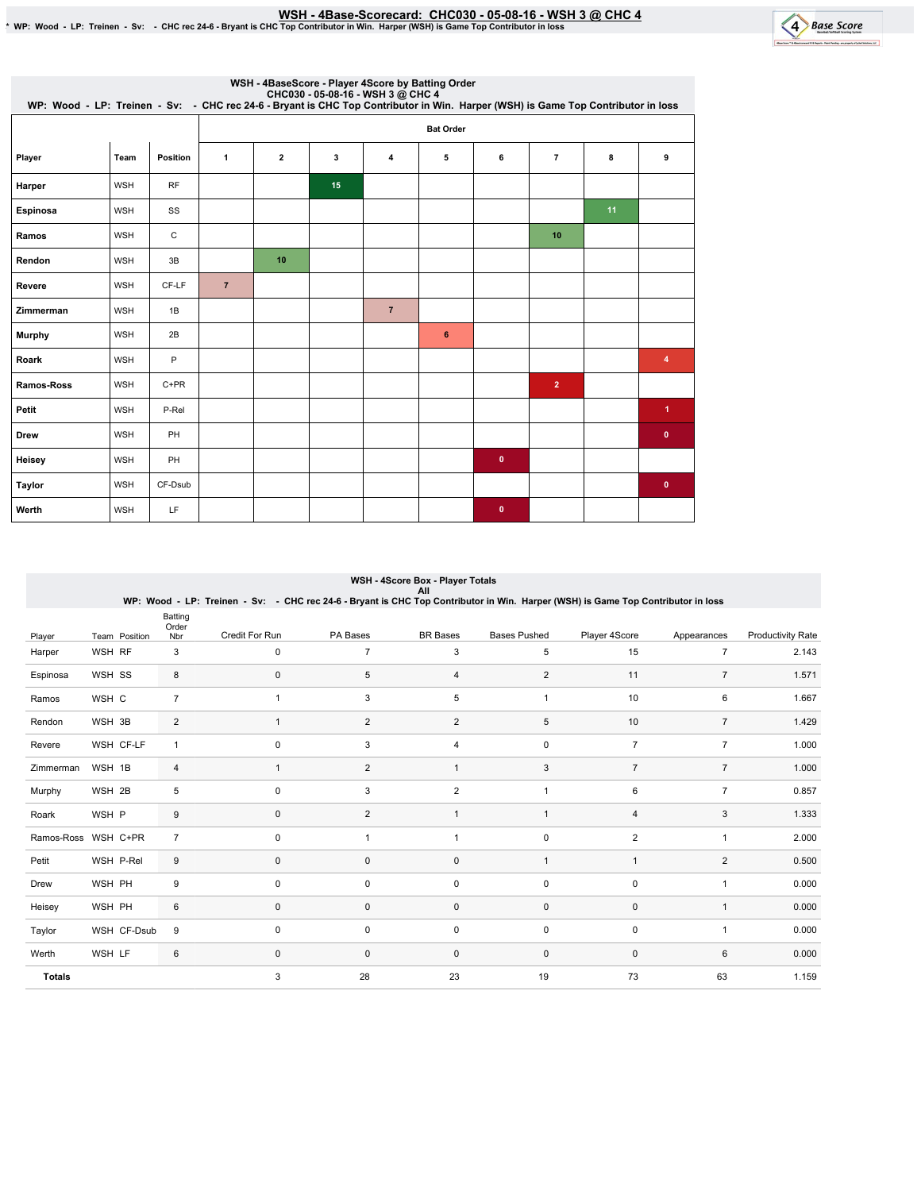## WSH - 4Base-Scorecard: CHC030 - 05-08-16 - WSH 3 @ CHC 4 - «WSH3 - 05-08-16» [WSH] is Game Top Contributor in Narper (WSH) is Game Top Contributor in Ioss



mu.

| WSH - 4BaseScore - Player 4Score by Batting Order<br>CHC030 - 05-08-16 - WSH 3 @ CHC 4<br>WP: Wood - LP: Treinen - Sv: - CHC rec 24-6 - Bryant is CHC Top Contributor in Win. Harper (WSH) is Game Top Contributor in loss |            |           |                |                  |    |                |                 |              |                |    |           |  |  |
|----------------------------------------------------------------------------------------------------------------------------------------------------------------------------------------------------------------------------|------------|-----------|----------------|------------------|----|----------------|-----------------|--------------|----------------|----|-----------|--|--|
|                                                                                                                                                                                                                            |            |           |                | <b>Bat Order</b> |    |                |                 |              |                |    |           |  |  |
| Player                                                                                                                                                                                                                     | Team       | Position  | 1              | $\overline{2}$   | 3  | 4              | 5               | 6            | $\overline{7}$ | 8  | 9         |  |  |
| Harper                                                                                                                                                                                                                     | WSH        | <b>RF</b> |                |                  | 15 |                |                 |              |                |    |           |  |  |
| Espinosa                                                                                                                                                                                                                   | WSH        | SS        |                |                  |    |                |                 |              |                | 11 |           |  |  |
| Ramos                                                                                                                                                                                                                      | WSH        | C         |                |                  |    |                |                 |              | 10             |    |           |  |  |
| 10<br>Rendon<br><b>WSH</b><br>3B                                                                                                                                                                                           |            |           |                |                  |    |                |                 |              |                |    |           |  |  |
| Revere                                                                                                                                                                                                                     | WSH        | CF-LF     | $\overline{7}$ |                  |    |                |                 |              |                |    |           |  |  |
| Zimmerman                                                                                                                                                                                                                  | <b>WSH</b> | 1B        |                |                  |    | $\overline{7}$ |                 |              |                |    |           |  |  |
| Murphy                                                                                                                                                                                                                     | <b>WSH</b> | 2B        |                |                  |    |                | $6\phantom{1}6$ |              |                |    |           |  |  |
| Roark                                                                                                                                                                                                                      | WSH        | P         |                |                  |    |                |                 |              |                |    | 4         |  |  |
| <b>Ramos-Ross</b>                                                                                                                                                                                                          | <b>WSH</b> | $C+PR$    |                |                  |    |                |                 |              | $\overline{2}$ |    |           |  |  |
| Petit                                                                                                                                                                                                                      | <b>WSH</b> | P-Rel     |                |                  |    |                |                 |              |                |    | 1         |  |  |
| <b>Drew</b>                                                                                                                                                                                                                | <b>WSH</b> | PH        |                |                  |    |                |                 |              |                |    | $\bf{0}$  |  |  |
| Heisey                                                                                                                                                                                                                     | <b>WSH</b> | PH        |                |                  |    |                |                 | $\mathbf{0}$ |                |    |           |  |  |
| Taylor                                                                                                                                                                                                                     | <b>WSH</b> | CF-Dsub   |                |                  |    |                |                 |              |                |    | $\bullet$ |  |  |
| Werth                                                                                                                                                                                                                      | WSH        | LF        |                |                  |    |                |                 | $\pmb{0}$    |                |    |           |  |  |

## WSH - 4Score Box - Player Totals All

|               |                     |                         | WP: Wood - LP: Treinen - Sv: - CHC rec 24-6 - Bryant is CHC Top Contributor in Win. Harper (WSH) is Game Top Contributor in loss |                |                     |                     |                |                |                          |
|---------------|---------------------|-------------------------|----------------------------------------------------------------------------------------------------------------------------------|----------------|---------------------|---------------------|----------------|----------------|--------------------------|
| Player        | Team Position       | Batting<br>Order<br>Nbr | Credit For Run                                                                                                                   | PA Bases       | <b>BR</b> Bases     | <b>Bases Pushed</b> | Player 4Score  | Appearances    | <b>Productivity Rate</b> |
| Harper        | WSH RF              | 3                       | 0                                                                                                                                | 7              | 3                   | 5                   | 15             | $\overline{7}$ | 2.143                    |
| Espinosa      | WSH SS              | 8                       | $\mathbf 0$                                                                                                                      | 5              | 4                   | 2                   | 11             | $\overline{7}$ | 1.571                    |
| Ramos         | WSH C               | $\overline{7}$          | $\overline{1}$                                                                                                                   | 3              | $\,$ 5 $\,$         | $\overline{1}$      | 10             | 6              | 1.667                    |
| Rendon        | WSH 3B              | $\overline{2}$          | $\mathbf{1}$                                                                                                                     | $\overline{2}$ | 2                   | $\,$ 5 $\,$         | 10             | $\overline{7}$ | 1.429                    |
| Revere        | WSH CF-LF           | 1                       | $\mathbf 0$                                                                                                                      | 3              | 4                   | $\pmb{0}$           | $\overline{7}$ | $\overline{7}$ | 1.000                    |
| Zimmerman     | WSH 1B              | 4                       | $\mathbf{1}$                                                                                                                     | $\overline{2}$ | $\mathbf{1}$        | 3                   | $\overline{7}$ | $\overline{7}$ | 1.000                    |
| Murphy        | WSH 2B              | 5                       | $\mathbf 0$                                                                                                                      | 3              | 2                   | $\overline{1}$      | 6              | $\overline{7}$ | 0.857                    |
| Roark         | WSH P               | 9                       | $\mathbf{0}$                                                                                                                     | $\overline{2}$ | $\mathbf{1}$        | $\mathbf 1$         | $\overline{4}$ | 3              | 1.333                    |
|               | Ramos-Ross WSH C+PR | $\overline{7}$          | $\mathbf 0$                                                                                                                      | $\mathbf{1}$   | $\mathbf 1$         | $\pmb{0}$           | 2              | 1              | 2.000                    |
| Petit         | WSH P-Rel           | 9                       | $\mathbf 0$                                                                                                                      | 0              | 0                   | $\overline{1}$      | $\overline{1}$ | 2              | 0.500                    |
| Drew          | WSH PH              | 9                       | $\mathbf 0$                                                                                                                      | 0              | $\mathsf{O}\xspace$ | $\mathsf 0$         | 0              | $\mathbf{1}$   | 0.000                    |
| Heisey        | WSH PH              | 6                       | $\mathbf{0}$                                                                                                                     | 0              | $\mathsf{O}\xspace$ | $\mathsf 0$         | $\mathbf 0$    | $\mathbf{1}$   | 0.000                    |
| Taylor        | WSH CF-Dsub         | $9\,$                   | $\mathbf 0$                                                                                                                      | 0              | $\mathbf 0$         | $\mathsf 0$         | $\mathbf 0$    | $\mathbf{1}$   | 0.000                    |
| Werth         | WSH LF              | 6                       | $\mathbf 0$                                                                                                                      | 0              | 0                   | 0                   | $\pmb{0}$      | 6              | 0.000                    |
| <b>Totals</b> |                     |                         | 3                                                                                                                                | 28             | 23                  | 19                  | 73             | 63             | 1.159                    |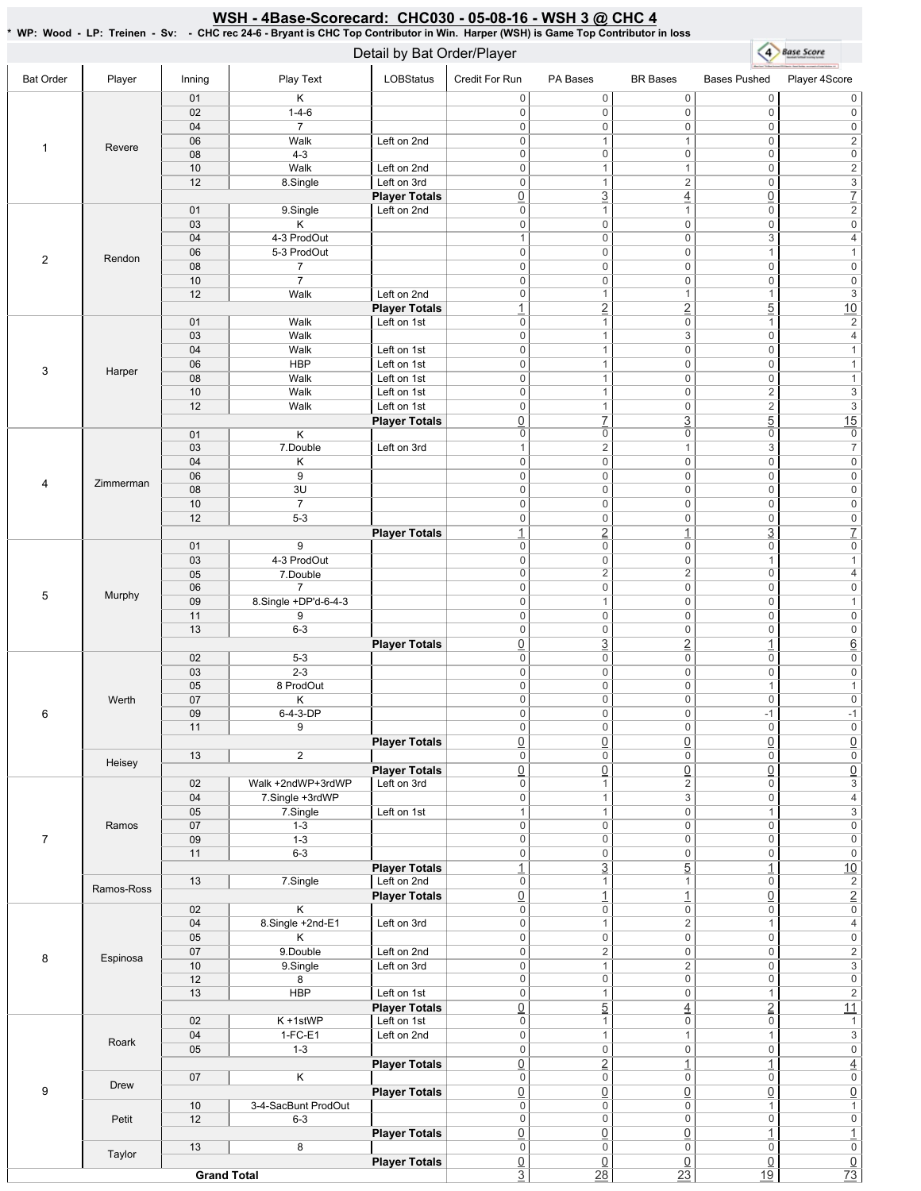## <u>WSH - 4Base-Scorecard: CHC030 - 05-08-16 - WSH 3 @ CHC 4</u>

\*WP:Wood-LP:Treinen-Sv: -CHCrec24-6-BryantisCHCTopContributorinWin.Harper(WSH)isGameTopContributorinloss

|                  |                                                                                                                                                                                                                                                                                                                                                                                                                                                                                                                                                                                                                                                                                                                                                                                                                                                                                                                                                                                                                                                                                                                                                                                                                                                                                                                                                                                                                                                                                                                                                                                                                                                                                                                                                                                                                                                                                                                                                                                                                                                                                                                                                                                                                                                                                                                                                                                                                                                                                                                                                                                                                                                                                                                                                                                                                                                                                                                                                                                                                                                                                                                                                                                                                                                                                                                                                                                                                                                                                                                                                                                                                                                                                                                                                                                                                                                                                                                                                                                                                                                                                                                                                                                                                                                                                                                                                                                                                                                                                                                                                                                                                                                                                                                                                                                                                                                                                                                                                                                                                                                                                                                                                                                                                                                                                                                                                                                                                                                                                                                                                                                                                                                                                                                                                                                                                                                                                                                                                                                                                                                                                                                                                                                                                                                                                                                                                                                                                                                                                                                                                                                                                                                                                                                                                                                                                                                                                                                                                                                                                                                                                                                                                                    |                |                |                  |                  |                     |                     | $\langle 4 \rangle$ | <b>Base Score</b>                                                       |
|------------------|--------------------------------------------------------------------------------------------------------------------------------------------------------------------------------------------------------------------------------------------------------------------------------------------------------------------------------------------------------------------------------------------------------------------------------------------------------------------------------------------------------------------------------------------------------------------------------------------------------------------------------------------------------------------------------------------------------------------------------------------------------------------------------------------------------------------------------------------------------------------------------------------------------------------------------------------------------------------------------------------------------------------------------------------------------------------------------------------------------------------------------------------------------------------------------------------------------------------------------------------------------------------------------------------------------------------------------------------------------------------------------------------------------------------------------------------------------------------------------------------------------------------------------------------------------------------------------------------------------------------------------------------------------------------------------------------------------------------------------------------------------------------------------------------------------------------------------------------------------------------------------------------------------------------------------------------------------------------------------------------------------------------------------------------------------------------------------------------------------------------------------------------------------------------------------------------------------------------------------------------------------------------------------------------------------------------------------------------------------------------------------------------------------------------------------------------------------------------------------------------------------------------------------------------------------------------------------------------------------------------------------------------------------------------------------------------------------------------------------------------------------------------------------------------------------------------------------------------------------------------------------------------------------------------------------------------------------------------------------------------------------------------------------------------------------------------------------------------------------------------------------------------------------------------------------------------------------------------------------------------------------------------------------------------------------------------------------------------------------------------------------------------------------------------------------------------------------------------------------------------------------------------------------------------------------------------------------------------------------------------------------------------------------------------------------------------------------------------------------------------------------------------------------------------------------------------------------------------------------------------------------------------------------------------------------------------------------------------------------------------------------------------------------------------------------------------------------------------------------------------------------------------------------------------------------------------------------------------------------------------------------------------------------------------------------------------------------------------------------------------------------------------------------------------------------------------------------------------------------------------------------------------------------------------------------------------------------------------------------------------------------------------------------------------------------------------------------------------------------------------------------------------------------------------------------------------------------------------------------------------------------------------------------------------------------------------------------------------------------------------------------------------------------------------------------------------------------------------------------------------------------------------------------------------------------------------------------------------------------------------------------------------------------------------------------------------------------------------------------------------------------------------------------------------------------------------------------------------------------------------------------------------------------------------------------------------------------------------------------------------------------------------------------------------------------------------------------------------------------------------------------------------------------------------------------------------------------------------------------------------------------------------------------------------------------------------------------------------------------------------------------------------------------------------------------------------------------------------------------------------------------------------------------------------------------------------------------------------------------------------------------------------------------------------------------------------------------------------------------------------------------------------------------------------------------------------------------------------------------------------------------------------------------------------------------------------------------------------------------------------------------------------------------------------------------------------------------------------------------------------------------------------------------------------------------------------------------------------------------------------------------------------------------------------------------------------------------------------------------------------------------------------------------------------------------------------------------------------------------------------------------------------------------------------|----------------|----------------|------------------|------------------|---------------------|---------------------|---------------------|-------------------------------------------------------------------------|
| <b>Bat Order</b> | Player                                                                                                                                                                                                                                                                                                                                                                                                                                                                                                                                                                                                                                                                                                                                                                                                                                                                                                                                                                                                                                                                                                                                                                                                                                                                                                                                                                                                                                                                                                                                                                                                                                                                                                                                                                                                                                                                                                                                                                                                                                                                                                                                                                                                                                                                                                                                                                                                                                                                                                                                                                                                                                                                                                                                                                                                                                                                                                                                                                                                                                                                                                                                                                                                                                                                                                                                                                                                                                                                                                                                                                                                                                                                                                                                                                                                                                                                                                                                                                                                                                                                                                                                                                                                                                                                                                                                                                                                                                                                                                                                                                                                                                                                                                                                                                                                                                                                                                                                                                                                                                                                                                                                                                                                                                                                                                                                                                                                                                                                                                                                                                                                                                                                                                                                                                                                                                                                                                                                                                                                                                                                                                                                                                                                                                                                                                                                                                                                                                                                                                                                                                                                                                                                                                                                                                                                                                                                                                                                                                                                                                                                                                                                                             | Inning         | Play Text      | <b>LOBStatus</b> | Credit For Run   | PA Bases            | <b>BR</b> Bases     | <b>Bases Pushed</b> | Player 4Score                                                           |
|                  |                                                                                                                                                                                                                                                                                                                                                                                                                                                                                                                                                                                                                                                                                                                                                                                                                                                                                                                                                                                                                                                                                                                                                                                                                                                                                                                                                                                                                                                                                                                                                                                                                                                                                                                                                                                                                                                                                                                                                                                                                                                                                                                                                                                                                                                                                                                                                                                                                                                                                                                                                                                                                                                                                                                                                                                                                                                                                                                                                                                                                                                                                                                                                                                                                                                                                                                                                                                                                                                                                                                                                                                                                                                                                                                                                                                                                                                                                                                                                                                                                                                                                                                                                                                                                                                                                                                                                                                                                                                                                                                                                                                                                                                                                                                                                                                                                                                                                                                                                                                                                                                                                                                                                                                                                                                                                                                                                                                                                                                                                                                                                                                                                                                                                                                                                                                                                                                                                                                                                                                                                                                                                                                                                                                                                                                                                                                                                                                                                                                                                                                                                                                                                                                                                                                                                                                                                                                                                                                                                                                                                                                                                                                                                                    | 01             | Κ              |                  | $\mathbf 0$      | 0                   | $\mathsf{O}\xspace$ | $\mathbf 0$         | 0                                                                       |
|                  |                                                                                                                                                                                                                                                                                                                                                                                                                                                                                                                                                                                                                                                                                                                                                                                                                                                                                                                                                                                                                                                                                                                                                                                                                                                                                                                                                                                                                                                                                                                                                                                                                                                                                                                                                                                                                                                                                                                                                                                                                                                                                                                                                                                                                                                                                                                                                                                                                                                                                                                                                                                                                                                                                                                                                                                                                                                                                                                                                                                                                                                                                                                                                                                                                                                                                                                                                                                                                                                                                                                                                                                                                                                                                                                                                                                                                                                                                                                                                                                                                                                                                                                                                                                                                                                                                                                                                                                                                                                                                                                                                                                                                                                                                                                                                                                                                                                                                                                                                                                                                                                                                                                                                                                                                                                                                                                                                                                                                                                                                                                                                                                                                                                                                                                                                                                                                                                                                                                                                                                                                                                                                                                                                                                                                                                                                                                                                                                                                                                                                                                                                                                                                                                                                                                                                                                                                                                                                                                                                                                                                                                                                                                                                                    | 02             | $1 - 4 - 6$    |                  | $\mathbf 0$      | $\mathsf{O}\xspace$ | $\overline{0}$      | $\mathbf 0$         | $\overline{0}$                                                          |
|                  |                                                                                                                                                                                                                                                                                                                                                                                                                                                                                                                                                                                                                                                                                                                                                                                                                                                                                                                                                                                                                                                                                                                                                                                                                                                                                                                                                                                                                                                                                                                                                                                                                                                                                                                                                                                                                                                                                                                                                                                                                                                                                                                                                                                                                                                                                                                                                                                                                                                                                                                                                                                                                                                                                                                                                                                                                                                                                                                                                                                                                                                                                                                                                                                                                                                                                                                                                                                                                                                                                                                                                                                                                                                                                                                                                                                                                                                                                                                                                                                                                                                                                                                                                                                                                                                                                                                                                                                                                                                                                                                                                                                                                                                                                                                                                                                                                                                                                                                                                                                                                                                                                                                                                                                                                                                                                                                                                                                                                                                                                                                                                                                                                                                                                                                                                                                                                                                                                                                                                                                                                                                                                                                                                                                                                                                                                                                                                                                                                                                                                                                                                                                                                                                                                                                                                                                                                                                                                                                                                                                                                                                                                                                                                                    | 04             | $\overline{7}$ |                  | $\mathbf 0$      | $\mathbf 0$         | $\mathsf{O}\xspace$ | $\boldsymbol{0}$    | $\mathsf{O}\xspace$                                                     |
|                  |                                                                                                                                                                                                                                                                                                                                                                                                                                                                                                                                                                                                                                                                                                                                                                                                                                                                                                                                                                                                                                                                                                                                                                                                                                                                                                                                                                                                                                                                                                                                                                                                                                                                                                                                                                                                                                                                                                                                                                                                                                                                                                                                                                                                                                                                                                                                                                                                                                                                                                                                                                                                                                                                                                                                                                                                                                                                                                                                                                                                                                                                                                                                                                                                                                                                                                                                                                                                                                                                                                                                                                                                                                                                                                                                                                                                                                                                                                                                                                                                                                                                                                                                                                                                                                                                                                                                                                                                                                                                                                                                                                                                                                                                                                                                                                                                                                                                                                                                                                                                                                                                                                                                                                                                                                                                                                                                                                                                                                                                                                                                                                                                                                                                                                                                                                                                                                                                                                                                                                                                                                                                                                                                                                                                                                                                                                                                                                                                                                                                                                                                                                                                                                                                                                                                                                                                                                                                                                                                                                                                                                                                                                                                                                    | 06             | Walk           | Left on 2nd      | $\boldsymbol{0}$ | 1                   | $\mathbf{1}$        | $\mathsf{O}\xspace$ | $\overline{2}$                                                          |
|                  |                                                                                                                                                                                                                                                                                                                                                                                                                                                                                                                                                                                                                                                                                                                                                                                                                                                                                                                                                                                                                                                                                                                                                                                                                                                                                                                                                                                                                                                                                                                                                                                                                                                                                                                                                                                                                                                                                                                                                                                                                                                                                                                                                                                                                                                                                                                                                                                                                                                                                                                                                                                                                                                                                                                                                                                                                                                                                                                                                                                                                                                                                                                                                                                                                                                                                                                                                                                                                                                                                                                                                                                                                                                                                                                                                                                                                                                                                                                                                                                                                                                                                                                                                                                                                                                                                                                                                                                                                                                                                                                                                                                                                                                                                                                                                                                                                                                                                                                                                                                                                                                                                                                                                                                                                                                                                                                                                                                                                                                                                                                                                                                                                                                                                                                                                                                                                                                                                                                                                                                                                                                                                                                                                                                                                                                                                                                                                                                                                                                                                                                                                                                                                                                                                                                                                                                                                                                                                                                                                                                                                                                                                                                                                                    | 08             |                |                  |                  | $\mathbf 0$         |                     |                     | $\overline{0}$                                                          |
|                  |                                                                                                                                                                                                                                                                                                                                                                                                                                                                                                                                                                                                                                                                                                                                                                                                                                                                                                                                                                                                                                                                                                                                                                                                                                                                                                                                                                                                                                                                                                                                                                                                                                                                                                                                                                                                                                                                                                                                                                                                                                                                                                                                                                                                                                                                                                                                                                                                                                                                                                                                                                                                                                                                                                                                                                                                                                                                                                                                                                                                                                                                                                                                                                                                                                                                                                                                                                                                                                                                                                                                                                                                                                                                                                                                                                                                                                                                                                                                                                                                                                                                                                                                                                                                                                                                                                                                                                                                                                                                                                                                                                                                                                                                                                                                                                                                                                                                                                                                                                                                                                                                                                                                                                                                                                                                                                                                                                                                                                                                                                                                                                                                                                                                                                                                                                                                                                                                                                                                                                                                                                                                                                                                                                                                                                                                                                                                                                                                                                                                                                                                                                                                                                                                                                                                                                                                                                                                                                                                                                                                                                                                                                                                                                    |                |                |                  |                  | 1                   |                     |                     | $\overline{2}$                                                          |
|                  | Detail by Bat Order/Player<br>Revere<br>1<br>$\overline{0}$<br>$\overline{0}$<br>$\overline{0}$<br>$4 - 3$<br>Walk<br>$\boldsymbol{0}$<br>$\mathbf{1}$<br>$\mathsf{O}\xspace$<br>10<br>Left on 2nd<br>$\sqrt{2}$<br>Left on 3rd<br>$\boldsymbol{0}$<br>$\mathbf 0$<br>12<br>8.Single<br>1<br>$\overline{4}$<br>$\overline{3}$<br>$\underline{0}$<br>$\overline{0}$<br><b>Player Totals</b><br>$\boldsymbol{0}$<br>$\mathsf{O}\xspace$<br>01<br>9.Single<br>Left on 2nd<br>$\mathbf{1}$<br>$\mathbf{1}$<br>$\overline{0}$<br>$\overline{0}$<br>Κ<br>$\mathbf 0$<br>$\mathsf{O}\xspace$<br>03<br>$\overline{3}$<br>4-3 ProdOut<br>$\mathsf{O}\xspace$<br>$\mathsf 0$<br>04<br>$\mathbf{1}$<br>$\overline{0}$<br>5-3 ProdOut<br>$\mathbf 0$<br>06<br>$\mathbf 0$<br>$\mathbf{1}$<br>$\overline{2}$<br>Rendon<br>$\mathsf 0$<br>$\mathbf 0$<br>08<br>7<br>$\mathbf 0$<br>$\mathbf 0$<br>$\overline{7}$<br>$\boldsymbol{0}$<br>$\mathsf 0$<br>$\mathbf 0$<br>10<br>$\mathbf 0$<br>$\overline{0}$<br>$\overline{1}$<br>$\overline{1}$<br>Walk<br>Left on 2nd<br>$\mathbf{1}$<br>12<br>$\overline{2}$<br>$\overline{2}$<br>$\overline{5}$<br><b>Player Totals</b><br>$\overline{1}$<br>$\boldsymbol{0}$<br>Walk<br>Left on 1st<br>$\boldsymbol{0}$<br>$\mathbf{1}$<br>01<br>1<br>Walk<br>3<br>03<br>$\boldsymbol{0}$<br>$\mathbf 0$<br>1<br>$\overline{0}$<br>Left on 1st<br>$\mathbf 0$<br>$\mathsf{O}\xspace$<br>04<br>Walk<br>$\mathbf{1}$<br><b>HBP</b><br>$\boldsymbol{0}$<br>$\mathsf 0$<br>$\mathsf{O}\xspace$<br>06<br>Left on 1st<br>1<br>3<br>Harper<br>$\overline{0}$<br>$\overline{0}$<br>Walk<br>$\mathsf{O}\xspace$<br>08<br>Left on 1st<br>1<br>$\mathsf 0$<br>$\sqrt{2}$<br>10<br>Walk<br>Left on 1st<br>$\mathbf 0$<br>1<br>$\overline{2}$<br>12<br>$\mathsf 0$<br>Walk<br>Left on 1st<br>$\mathbf 0$<br>$\mathbf{1}$<br>$\overline{3}$<br>$\overline{5}$<br>$\overline{0}$<br>$\overline{1}$<br><b>Player Totals</b><br>$\overline{0}$<br>$\overline{0}$<br>$\overline{0}$<br>Κ<br>$\boldsymbol{0}$<br>01<br>7.Double<br>$\ensuremath{\mathsf{3}}$<br>$\overline{2}$<br>$\mathbf{1}$<br>03<br>Left on 3rd<br>$\mathbf{1}$<br>$\mathbf 0$<br>$\mathsf{O}\xspace$<br>$\mathsf{O}\xspace$<br>04<br>κ<br>$\mathsf 0$<br>$\overline{0}$<br>9<br>$\mathbf 0$<br>$\mathsf{O}\xspace$<br>06<br>$\mathsf 0$<br>4<br>Zimmerman<br>3U<br>$\boldsymbol{0}$<br>$\mathsf 0$<br>$\mathsf{O}\xspace$<br>08<br>$\mathsf 0$<br>$\overline{0}$<br>10<br>$\overline{7}$<br>$\mathbf 0$<br>$\mathsf{O}\xspace$<br>$\mathsf{O}\xspace$<br>$5 - 3$<br>$\boldsymbol{0}$<br>$\mathsf{O}\xspace$<br>$\mathsf 0$<br>$\mathbf 0$<br>12<br>$\overline{3}$<br>$\overline{1}$<br>$\overline{2}$<br>$\overline{1}$<br><b>Player Totals</b><br>9<br>$\boldsymbol{0}$<br>$\mathsf 0$<br>01<br>$\mathbf 0$<br>$\boldsymbol{0}$<br>$\boldsymbol{0}$<br>$\mathsf 0$<br>$\mathbf{1}$<br>03<br>4-3 ProdOut<br>$\mathbf 0$<br>$\overline{2}$<br>$\overline{0}$<br>$\overline{2}$<br>$\boldsymbol{0}$<br>7.Double<br>05<br>$\mathsf{O}\xspace$<br>$\boldsymbol{0}$<br>$\mathbf 0$<br>06<br>$\mathsf 0$<br>7<br>5<br>Murphy<br>8.Single +DP'd-6-4-3<br>$\overline{0}$<br>$\overline{0}$<br>$\overline{0}$<br>09<br>1<br>$\mathsf 0$<br>11<br>9<br>$\boldsymbol{0}$<br>0<br>$\mathbf 0$<br>$6 - 3$<br>$\overline{0}$<br>13<br>$\mathbf 0$<br>$\mathsf{O}\xspace$<br>$\mathsf{O}\xspace$<br>$\frac{2}{0}$<br>$\overline{0}$<br>$\overline{3}$<br>$\overline{1}$<br><b>Player Totals</b><br>$\overline{0}$<br>$5 - 3$<br>$\mathsf{O}\xspace$<br>$\mathsf{O}\xspace$<br>02<br>$2 - 3$<br>$\mathsf 0$<br>03<br>$\mathbf 0$<br>$\mathsf 0$<br>$\mathbf 0$<br>8 ProdOut<br>$\mathsf 0$<br>05<br>$\mathbf 0$<br>$\mathbf 0$<br>$\mathbf{1}$<br>$\overline{0}$<br>$\mathbf 0$<br>$\mathbf 0$<br>0<br>07<br>κ<br>Werth<br>$\,6\,$<br>6-4-3-DP<br>$\mathsf 0$<br>$09\,$<br>0<br>$-1$<br>U<br>$\overline{0}$<br>$\overline{0}$<br>$\mathbf 0$<br>$\mathsf{O}\xspace$<br>11<br>9<br>$\underline{0}$<br>$\underline{0}$<br>$\underline{0}$<br>$\underline{0}$<br><b>Player Totals</b><br>$\overline{0}$<br>2<br>$\mathbf 0$<br>$\mathsf 0$<br>13<br>0<br>Heisey<br>$\underline{0}$<br>$\underline{0}$<br>$\underline{0}$<br><b>Player Totals</b><br>$\mathbf 0$<br>$\overline{2}$<br>$\overline{0}$<br>$\overline{0}$<br>Walk +2ndWP+3rdWP<br>Left on 3rd<br>02<br>1<br>$\overline{3}$<br>$\overline{0}$<br>04<br>7.Single +3rdWP<br>$\mathsf{O}\xspace$<br>$\mathbf{1}$<br>$\overline{0}$<br>05<br>7.Single<br>$\mathbf{1}$<br>Left on 1st<br>$\mathbf{1}$<br>$\mathbf{1}$<br>07<br>$\mathbf 0$<br>$\mathsf{O}\xspace$<br>$\mathsf 0$<br>$\mathsf 0$<br>$1 - 3$<br>Ramos<br>$\overline{7}$<br>$\overline{0}$<br>$\overline{0}$<br>$\overline{0}$<br>$\overline{0}$<br>09<br>$1 - 3$<br>$\mathsf 0$<br>$6 - 3$<br>$\boldsymbol{0}$<br>$\mathsf{O}\xspace$<br>$\mathsf{O}\xspace$<br>11<br>$\overline{5}$<br>$\overline{1}$<br>$\overline{3}$<br>$\overline{1}$<br><b>Player Totals</b><br>$\overline{0}$<br>$\overline{0}$<br>Left on 2nd<br>13<br>7.Single<br>$\mathbf{1}$<br>1<br>Ramos-Ross<br>$\underline{0}$<br>$\underline{0}$<br>$\mathbf{1}$<br><b>Player Totals</b><br>$\mathbf{1}$<br>Κ<br>$\mathbf 0$<br>$\mathsf{O}\xspace$<br>$\mathsf{O}\xspace$<br>$\mathbf 0$<br>02<br>8.Single +2nd-E1<br>$\overline{2}$<br>04<br>Left on 3rd<br>$\mathbf 0$<br>$\mathbf{1}$<br>$\mathbf{1}$<br>$\overline{0}$<br>$\overline{0}$<br>$\overline{0}$<br>$\overline{0}$<br>05<br>Κ<br>9.Double<br>$\overline{0}$<br>07<br>$\overline{2}$<br>$\mathbb O$<br>Left on 2nd<br>$\mathbf 0$<br>8<br>Espinosa<br>$\overline{2}$<br>10<br>9.Single<br>Left on 3rd<br>$\boldsymbol{0}$<br>$\mathsf{O}\xspace$<br>$\mathbf{1}$<br>$\overline{0}$<br>$\overline{0}$<br>$\boldsymbol{0}$<br>12<br>8<br>0<br>13<br><b>HBP</b><br>$\boldsymbol{0}$<br>$\mathsf{O}\xspace$<br>$\mathbf{1}$<br>Left on 1st<br>$\mathbf{1}$<br>$\overline{2}$<br>$\overline{0}$<br>$\overline{5}$<br>$\overline{4}$<br><b>Player Totals</b><br>$\overline{0}$<br>Left on 1st<br>$\overline{0}$<br>K+1stWP<br>02<br>$\mathbf 0$<br>1<br>$1-FC-E1$<br>$\overline{1}$<br>04<br>Left on 2nd<br>$\mathbf 0$<br>$\mathbf{1}$<br>$\mathbf{1}$<br>Roark<br>05<br>$1-3$<br>$\mathbf 0$<br>$\mathsf{O}\xspace$<br>$\mathsf{O}\xspace$<br>$\mathsf{O}\xspace$<br>$\underline{0}$<br>$\overline{2}$<br>$\overline{1}$<br>$\overline{1}$<br><b>Player Totals</b><br>$\overline{0}$<br>$\sf K$<br>$\mathbf 0$<br>$\mathbf 0$<br>$\mathsf{O}\xspace$<br>07<br>Drew<br>9<br>$\overline{\underline{0}}$<br>$\underline{0}$<br>$\underline{0}$<br>$\underline{0}$<br><b>Player Totals</b><br>3-4-SacBunt ProdOut<br>$\boldsymbol{0}$<br>$\mathsf 0$<br>$\mathbf{1}$<br>10<br>$\mathsf 0$<br>$\overline{0}$<br>$\overline{0}$<br>$\overline{0}$<br>$\overline{0}$<br>12<br>Petit<br>$6 - 3$<br>$\overline{1}$<br>$\underline{0}$<br>$\underline{0}$<br>$\underline{0}$<br><b>Player Totals</b><br>$\overline{0}$<br>$\boldsymbol{0}$<br>$\mathsf 0$<br>13<br>8<br>$\mathbf 0$<br>Taylor<br>$\frac{0}{3}$<br>$\underline{0}$<br>$\underline{0}$<br><b>Player Totals</b><br>$\overline{0}$<br>$\overline{23}$<br>$\frac{1}{28}$<br>$\frac{1}{19}$<br><b>Grand Total</b> | $\overline{3}$ |                |                  |                  |                     |                     |                     |                                                                         |
|                  |                                                                                                                                                                                                                                                                                                                                                                                                                                                                                                                                                                                                                                                                                                                                                                                                                                                                                                                                                                                                                                                                                                                                                                                                                                                                                                                                                                                                                                                                                                                                                                                                                                                                                                                                                                                                                                                                                                                                                                                                                                                                                                                                                                                                                                                                                                                                                                                                                                                                                                                                                                                                                                                                                                                                                                                                                                                                                                                                                                                                                                                                                                                                                                                                                                                                                                                                                                                                                                                                                                                                                                                                                                                                                                                                                                                                                                                                                                                                                                                                                                                                                                                                                                                                                                                                                                                                                                                                                                                                                                                                                                                                                                                                                                                                                                                                                                                                                                                                                                                                                                                                                                                                                                                                                                                                                                                                                                                                                                                                                                                                                                                                                                                                                                                                                                                                                                                                                                                                                                                                                                                                                                                                                                                                                                                                                                                                                                                                                                                                                                                                                                                                                                                                                                                                                                                                                                                                                                                                                                                                                                                                                                                                                                    |                |                |                  |                  |                     |                     |                     | $\frac{7}{2}$                                                           |
|                  |                                                                                                                                                                                                                                                                                                                                                                                                                                                                                                                                                                                                                                                                                                                                                                                                                                                                                                                                                                                                                                                                                                                                                                                                                                                                                                                                                                                                                                                                                                                                                                                                                                                                                                                                                                                                                                                                                                                                                                                                                                                                                                                                                                                                                                                                                                                                                                                                                                                                                                                                                                                                                                                                                                                                                                                                                                                                                                                                                                                                                                                                                                                                                                                                                                                                                                                                                                                                                                                                                                                                                                                                                                                                                                                                                                                                                                                                                                                                                                                                                                                                                                                                                                                                                                                                                                                                                                                                                                                                                                                                                                                                                                                                                                                                                                                                                                                                                                                                                                                                                                                                                                                                                                                                                                                                                                                                                                                                                                                                                                                                                                                                                                                                                                                                                                                                                                                                                                                                                                                                                                                                                                                                                                                                                                                                                                                                                                                                                                                                                                                                                                                                                                                                                                                                                                                                                                                                                                                                                                                                                                                                                                                                                                    |                |                |                  |                  |                     |                     |                     |                                                                         |
|                  |                                                                                                                                                                                                                                                                                                                                                                                                                                                                                                                                                                                                                                                                                                                                                                                                                                                                                                                                                                                                                                                                                                                                                                                                                                                                                                                                                                                                                                                                                                                                                                                                                                                                                                                                                                                                                                                                                                                                                                                                                                                                                                                                                                                                                                                                                                                                                                                                                                                                                                                                                                                                                                                                                                                                                                                                                                                                                                                                                                                                                                                                                                                                                                                                                                                                                                                                                                                                                                                                                                                                                                                                                                                                                                                                                                                                                                                                                                                                                                                                                                                                                                                                                                                                                                                                                                                                                                                                                                                                                                                                                                                                                                                                                                                                                                                                                                                                                                                                                                                                                                                                                                                                                                                                                                                                                                                                                                                                                                                                                                                                                                                                                                                                                                                                                                                                                                                                                                                                                                                                                                                                                                                                                                                                                                                                                                                                                                                                                                                                                                                                                                                                                                                                                                                                                                                                                                                                                                                                                                                                                                                                                                                                                                    |                |                |                  |                  |                     |                     |                     | $\overline{\mathbf{0}}$                                                 |
|                  |                                                                                                                                                                                                                                                                                                                                                                                                                                                                                                                                                                                                                                                                                                                                                                                                                                                                                                                                                                                                                                                                                                                                                                                                                                                                                                                                                                                                                                                                                                                                                                                                                                                                                                                                                                                                                                                                                                                                                                                                                                                                                                                                                                                                                                                                                                                                                                                                                                                                                                                                                                                                                                                                                                                                                                                                                                                                                                                                                                                                                                                                                                                                                                                                                                                                                                                                                                                                                                                                                                                                                                                                                                                                                                                                                                                                                                                                                                                                                                                                                                                                                                                                                                                                                                                                                                                                                                                                                                                                                                                                                                                                                                                                                                                                                                                                                                                                                                                                                                                                                                                                                                                                                                                                                                                                                                                                                                                                                                                                                                                                                                                                                                                                                                                                                                                                                                                                                                                                                                                                                                                                                                                                                                                                                                                                                                                                                                                                                                                                                                                                                                                                                                                                                                                                                                                                                                                                                                                                                                                                                                                                                                                                                                    |                |                |                  |                  |                     |                     |                     | $\overline{4}$                                                          |
|                  |                                                                                                                                                                                                                                                                                                                                                                                                                                                                                                                                                                                                                                                                                                                                                                                                                                                                                                                                                                                                                                                                                                                                                                                                                                                                                                                                                                                                                                                                                                                                                                                                                                                                                                                                                                                                                                                                                                                                                                                                                                                                                                                                                                                                                                                                                                                                                                                                                                                                                                                                                                                                                                                                                                                                                                                                                                                                                                                                                                                                                                                                                                                                                                                                                                                                                                                                                                                                                                                                                                                                                                                                                                                                                                                                                                                                                                                                                                                                                                                                                                                                                                                                                                                                                                                                                                                                                                                                                                                                                                                                                                                                                                                                                                                                                                                                                                                                                                                                                                                                                                                                                                                                                                                                                                                                                                                                                                                                                                                                                                                                                                                                                                                                                                                                                                                                                                                                                                                                                                                                                                                                                                                                                                                                                                                                                                                                                                                                                                                                                                                                                                                                                                                                                                                                                                                                                                                                                                                                                                                                                                                                                                                                                                    |                |                |                  |                  |                     |                     |                     | $\overline{1}$                                                          |
|                  |                                                                                                                                                                                                                                                                                                                                                                                                                                                                                                                                                                                                                                                                                                                                                                                                                                                                                                                                                                                                                                                                                                                                                                                                                                                                                                                                                                                                                                                                                                                                                                                                                                                                                                                                                                                                                                                                                                                                                                                                                                                                                                                                                                                                                                                                                                                                                                                                                                                                                                                                                                                                                                                                                                                                                                                                                                                                                                                                                                                                                                                                                                                                                                                                                                                                                                                                                                                                                                                                                                                                                                                                                                                                                                                                                                                                                                                                                                                                                                                                                                                                                                                                                                                                                                                                                                                                                                                                                                                                                                                                                                                                                                                                                                                                                                                                                                                                                                                                                                                                                                                                                                                                                                                                                                                                                                                                                                                                                                                                                                                                                                                                                                                                                                                                                                                                                                                                                                                                                                                                                                                                                                                                                                                                                                                                                                                                                                                                                                                                                                                                                                                                                                                                                                                                                                                                                                                                                                                                                                                                                                                                                                                                                                    |                |                |                  |                  |                     |                     |                     | $\overline{0}$                                                          |
|                  |                                                                                                                                                                                                                                                                                                                                                                                                                                                                                                                                                                                                                                                                                                                                                                                                                                                                                                                                                                                                                                                                                                                                                                                                                                                                                                                                                                                                                                                                                                                                                                                                                                                                                                                                                                                                                                                                                                                                                                                                                                                                                                                                                                                                                                                                                                                                                                                                                                                                                                                                                                                                                                                                                                                                                                                                                                                                                                                                                                                                                                                                                                                                                                                                                                                                                                                                                                                                                                                                                                                                                                                                                                                                                                                                                                                                                                                                                                                                                                                                                                                                                                                                                                                                                                                                                                                                                                                                                                                                                                                                                                                                                                                                                                                                                                                                                                                                                                                                                                                                                                                                                                                                                                                                                                                                                                                                                                                                                                                                                                                                                                                                                                                                                                                                                                                                                                                                                                                                                                                                                                                                                                                                                                                                                                                                                                                                                                                                                                                                                                                                                                                                                                                                                                                                                                                                                                                                                                                                                                                                                                                                                                                                                                    |                |                |                  |                  |                     |                     |                     | $\boldsymbol{0}$                                                        |
|                  |                                                                                                                                                                                                                                                                                                                                                                                                                                                                                                                                                                                                                                                                                                                                                                                                                                                                                                                                                                                                                                                                                                                                                                                                                                                                                                                                                                                                                                                                                                                                                                                                                                                                                                                                                                                                                                                                                                                                                                                                                                                                                                                                                                                                                                                                                                                                                                                                                                                                                                                                                                                                                                                                                                                                                                                                                                                                                                                                                                                                                                                                                                                                                                                                                                                                                                                                                                                                                                                                                                                                                                                                                                                                                                                                                                                                                                                                                                                                                                                                                                                                                                                                                                                                                                                                                                                                                                                                                                                                                                                                                                                                                                                                                                                                                                                                                                                                                                                                                                                                                                                                                                                                                                                                                                                                                                                                                                                                                                                                                                                                                                                                                                                                                                                                                                                                                                                                                                                                                                                                                                                                                                                                                                                                                                                                                                                                                                                                                                                                                                                                                                                                                                                                                                                                                                                                                                                                                                                                                                                                                                                                                                                                                                    |                |                |                  |                  |                     |                     |                     | $\overline{3}$                                                          |
|                  |                                                                                                                                                                                                                                                                                                                                                                                                                                                                                                                                                                                                                                                                                                                                                                                                                                                                                                                                                                                                                                                                                                                                                                                                                                                                                                                                                                                                                                                                                                                                                                                                                                                                                                                                                                                                                                                                                                                                                                                                                                                                                                                                                                                                                                                                                                                                                                                                                                                                                                                                                                                                                                                                                                                                                                                                                                                                                                                                                                                                                                                                                                                                                                                                                                                                                                                                                                                                                                                                                                                                                                                                                                                                                                                                                                                                                                                                                                                                                                                                                                                                                                                                                                                                                                                                                                                                                                                                                                                                                                                                                                                                                                                                                                                                                                                                                                                                                                                                                                                                                                                                                                                                                                                                                                                                                                                                                                                                                                                                                                                                                                                                                                                                                                                                                                                                                                                                                                                                                                                                                                                                                                                                                                                                                                                                                                                                                                                                                                                                                                                                                                                                                                                                                                                                                                                                                                                                                                                                                                                                                                                                                                                                                                    |                |                |                  |                  |                     |                     |                     | 10<br>$\overline{2}$                                                    |
|                  |                                                                                                                                                                                                                                                                                                                                                                                                                                                                                                                                                                                                                                                                                                                                                                                                                                                                                                                                                                                                                                                                                                                                                                                                                                                                                                                                                                                                                                                                                                                                                                                                                                                                                                                                                                                                                                                                                                                                                                                                                                                                                                                                                                                                                                                                                                                                                                                                                                                                                                                                                                                                                                                                                                                                                                                                                                                                                                                                                                                                                                                                                                                                                                                                                                                                                                                                                                                                                                                                                                                                                                                                                                                                                                                                                                                                                                                                                                                                                                                                                                                                                                                                                                                                                                                                                                                                                                                                                                                                                                                                                                                                                                                                                                                                                                                                                                                                                                                                                                                                                                                                                                                                                                                                                                                                                                                                                                                                                                                                                                                                                                                                                                                                                                                                                                                                                                                                                                                                                                                                                                                                                                                                                                                                                                                                                                                                                                                                                                                                                                                                                                                                                                                                                                                                                                                                                                                                                                                                                                                                                                                                                                                                                                    |                |                |                  |                  |                     |                     |                     | $\overline{4}$                                                          |
|                  |                                                                                                                                                                                                                                                                                                                                                                                                                                                                                                                                                                                                                                                                                                                                                                                                                                                                                                                                                                                                                                                                                                                                                                                                                                                                                                                                                                                                                                                                                                                                                                                                                                                                                                                                                                                                                                                                                                                                                                                                                                                                                                                                                                                                                                                                                                                                                                                                                                                                                                                                                                                                                                                                                                                                                                                                                                                                                                                                                                                                                                                                                                                                                                                                                                                                                                                                                                                                                                                                                                                                                                                                                                                                                                                                                                                                                                                                                                                                                                                                                                                                                                                                                                                                                                                                                                                                                                                                                                                                                                                                                                                                                                                                                                                                                                                                                                                                                                                                                                                                                                                                                                                                                                                                                                                                                                                                                                                                                                                                                                                                                                                                                                                                                                                                                                                                                                                                                                                                                                                                                                                                                                                                                                                                                                                                                                                                                                                                                                                                                                                                                                                                                                                                                                                                                                                                                                                                                                                                                                                                                                                                                                                                                                    |                |                |                  |                  |                     |                     |                     | $\mathbf{1}$                                                            |
|                  |                                                                                                                                                                                                                                                                                                                                                                                                                                                                                                                                                                                                                                                                                                                                                                                                                                                                                                                                                                                                                                                                                                                                                                                                                                                                                                                                                                                                                                                                                                                                                                                                                                                                                                                                                                                                                                                                                                                                                                                                                                                                                                                                                                                                                                                                                                                                                                                                                                                                                                                                                                                                                                                                                                                                                                                                                                                                                                                                                                                                                                                                                                                                                                                                                                                                                                                                                                                                                                                                                                                                                                                                                                                                                                                                                                                                                                                                                                                                                                                                                                                                                                                                                                                                                                                                                                                                                                                                                                                                                                                                                                                                                                                                                                                                                                                                                                                                                                                                                                                                                                                                                                                                                                                                                                                                                                                                                                                                                                                                                                                                                                                                                                                                                                                                                                                                                                                                                                                                                                                                                                                                                                                                                                                                                                                                                                                                                                                                                                                                                                                                                                                                                                                                                                                                                                                                                                                                                                                                                                                                                                                                                                                                                                    |                |                |                  |                  |                     |                     |                     | $\mathbf{1}$                                                            |
|                  |                                                                                                                                                                                                                                                                                                                                                                                                                                                                                                                                                                                                                                                                                                                                                                                                                                                                                                                                                                                                                                                                                                                                                                                                                                                                                                                                                                                                                                                                                                                                                                                                                                                                                                                                                                                                                                                                                                                                                                                                                                                                                                                                                                                                                                                                                                                                                                                                                                                                                                                                                                                                                                                                                                                                                                                                                                                                                                                                                                                                                                                                                                                                                                                                                                                                                                                                                                                                                                                                                                                                                                                                                                                                                                                                                                                                                                                                                                                                                                                                                                                                                                                                                                                                                                                                                                                                                                                                                                                                                                                                                                                                                                                                                                                                                                                                                                                                                                                                                                                                                                                                                                                                                                                                                                                                                                                                                                                                                                                                                                                                                                                                                                                                                                                                                                                                                                                                                                                                                                                                                                                                                                                                                                                                                                                                                                                                                                                                                                                                                                                                                                                                                                                                                                                                                                                                                                                                                                                                                                                                                                                                                                                                                                    |                |                |                  |                  |                     |                     |                     | $\overline{1}$                                                          |
|                  |                                                                                                                                                                                                                                                                                                                                                                                                                                                                                                                                                                                                                                                                                                                                                                                                                                                                                                                                                                                                                                                                                                                                                                                                                                                                                                                                                                                                                                                                                                                                                                                                                                                                                                                                                                                                                                                                                                                                                                                                                                                                                                                                                                                                                                                                                                                                                                                                                                                                                                                                                                                                                                                                                                                                                                                                                                                                                                                                                                                                                                                                                                                                                                                                                                                                                                                                                                                                                                                                                                                                                                                                                                                                                                                                                                                                                                                                                                                                                                                                                                                                                                                                                                                                                                                                                                                                                                                                                                                                                                                                                                                                                                                                                                                                                                                                                                                                                                                                                                                                                                                                                                                                                                                                                                                                                                                                                                                                                                                                                                                                                                                                                                                                                                                                                                                                                                                                                                                                                                                                                                                                                                                                                                                                                                                                                                                                                                                                                                                                                                                                                                                                                                                                                                                                                                                                                                                                                                                                                                                                                                                                                                                                                                    |                |                |                  |                  |                     |                     |                     | $\overline{3}$                                                          |
|                  |                                                                                                                                                                                                                                                                                                                                                                                                                                                                                                                                                                                                                                                                                                                                                                                                                                                                                                                                                                                                                                                                                                                                                                                                                                                                                                                                                                                                                                                                                                                                                                                                                                                                                                                                                                                                                                                                                                                                                                                                                                                                                                                                                                                                                                                                                                                                                                                                                                                                                                                                                                                                                                                                                                                                                                                                                                                                                                                                                                                                                                                                                                                                                                                                                                                                                                                                                                                                                                                                                                                                                                                                                                                                                                                                                                                                                                                                                                                                                                                                                                                                                                                                                                                                                                                                                                                                                                                                                                                                                                                                                                                                                                                                                                                                                                                                                                                                                                                                                                                                                                                                                                                                                                                                                                                                                                                                                                                                                                                                                                                                                                                                                                                                                                                                                                                                                                                                                                                                                                                                                                                                                                                                                                                                                                                                                                                                                                                                                                                                                                                                                                                                                                                                                                                                                                                                                                                                                                                                                                                                                                                                                                                                                                    |                |                |                  |                  |                     |                     |                     | $\overline{3}$                                                          |
|                  |                                                                                                                                                                                                                                                                                                                                                                                                                                                                                                                                                                                                                                                                                                                                                                                                                                                                                                                                                                                                                                                                                                                                                                                                                                                                                                                                                                                                                                                                                                                                                                                                                                                                                                                                                                                                                                                                                                                                                                                                                                                                                                                                                                                                                                                                                                                                                                                                                                                                                                                                                                                                                                                                                                                                                                                                                                                                                                                                                                                                                                                                                                                                                                                                                                                                                                                                                                                                                                                                                                                                                                                                                                                                                                                                                                                                                                                                                                                                                                                                                                                                                                                                                                                                                                                                                                                                                                                                                                                                                                                                                                                                                                                                                                                                                                                                                                                                                                                                                                                                                                                                                                                                                                                                                                                                                                                                                                                                                                                                                                                                                                                                                                                                                                                                                                                                                                                                                                                                                                                                                                                                                                                                                                                                                                                                                                                                                                                                                                                                                                                                                                                                                                                                                                                                                                                                                                                                                                                                                                                                                                                                                                                                                                    |                |                |                  |                  |                     |                     |                     |                                                                         |
|                  |                                                                                                                                                                                                                                                                                                                                                                                                                                                                                                                                                                                                                                                                                                                                                                                                                                                                                                                                                                                                                                                                                                                                                                                                                                                                                                                                                                                                                                                                                                                                                                                                                                                                                                                                                                                                                                                                                                                                                                                                                                                                                                                                                                                                                                                                                                                                                                                                                                                                                                                                                                                                                                                                                                                                                                                                                                                                                                                                                                                                                                                                                                                                                                                                                                                                                                                                                                                                                                                                                                                                                                                                                                                                                                                                                                                                                                                                                                                                                                                                                                                                                                                                                                                                                                                                                                                                                                                                                                                                                                                                                                                                                                                                                                                                                                                                                                                                                                                                                                                                                                                                                                                                                                                                                                                                                                                                                                                                                                                                                                                                                                                                                                                                                                                                                                                                                                                                                                                                                                                                                                                                                                                                                                                                                                                                                                                                                                                                                                                                                                                                                                                                                                                                                                                                                                                                                                                                                                                                                                                                                                                                                                                                                                    |                |                |                  |                  |                     |                     |                     | $\frac{15}{0}$                                                          |
|                  |                                                                                                                                                                                                                                                                                                                                                                                                                                                                                                                                                                                                                                                                                                                                                                                                                                                                                                                                                                                                                                                                                                                                                                                                                                                                                                                                                                                                                                                                                                                                                                                                                                                                                                                                                                                                                                                                                                                                                                                                                                                                                                                                                                                                                                                                                                                                                                                                                                                                                                                                                                                                                                                                                                                                                                                                                                                                                                                                                                                                                                                                                                                                                                                                                                                                                                                                                                                                                                                                                                                                                                                                                                                                                                                                                                                                                                                                                                                                                                                                                                                                                                                                                                                                                                                                                                                                                                                                                                                                                                                                                                                                                                                                                                                                                                                                                                                                                                                                                                                                                                                                                                                                                                                                                                                                                                                                                                                                                                                                                                                                                                                                                                                                                                                                                                                                                                                                                                                                                                                                                                                                                                                                                                                                                                                                                                                                                                                                                                                                                                                                                                                                                                                                                                                                                                                                                                                                                                                                                                                                                                                                                                                                                                    |                |                |                  |                  |                     |                     |                     | $\overline{7}$                                                          |
|                  |                                                                                                                                                                                                                                                                                                                                                                                                                                                                                                                                                                                                                                                                                                                                                                                                                                                                                                                                                                                                                                                                                                                                                                                                                                                                                                                                                                                                                                                                                                                                                                                                                                                                                                                                                                                                                                                                                                                                                                                                                                                                                                                                                                                                                                                                                                                                                                                                                                                                                                                                                                                                                                                                                                                                                                                                                                                                                                                                                                                                                                                                                                                                                                                                                                                                                                                                                                                                                                                                                                                                                                                                                                                                                                                                                                                                                                                                                                                                                                                                                                                                                                                                                                                                                                                                                                                                                                                                                                                                                                                                                                                                                                                                                                                                                                                                                                                                                                                                                                                                                                                                                                                                                                                                                                                                                                                                                                                                                                                                                                                                                                                                                                                                                                                                                                                                                                                                                                                                                                                                                                                                                                                                                                                                                                                                                                                                                                                                                                                                                                                                                                                                                                                                                                                                                                                                                                                                                                                                                                                                                                                                                                                                                                    |                |                |                  |                  |                     |                     |                     | $\overline{0}$                                                          |
|                  |                                                                                                                                                                                                                                                                                                                                                                                                                                                                                                                                                                                                                                                                                                                                                                                                                                                                                                                                                                                                                                                                                                                                                                                                                                                                                                                                                                                                                                                                                                                                                                                                                                                                                                                                                                                                                                                                                                                                                                                                                                                                                                                                                                                                                                                                                                                                                                                                                                                                                                                                                                                                                                                                                                                                                                                                                                                                                                                                                                                                                                                                                                                                                                                                                                                                                                                                                                                                                                                                                                                                                                                                                                                                                                                                                                                                                                                                                                                                                                                                                                                                                                                                                                                                                                                                                                                                                                                                                                                                                                                                                                                                                                                                                                                                                                                                                                                                                                                                                                                                                                                                                                                                                                                                                                                                                                                                                                                                                                                                                                                                                                                                                                                                                                                                                                                                                                                                                                                                                                                                                                                                                                                                                                                                                                                                                                                                                                                                                                                                                                                                                                                                                                                                                                                                                                                                                                                                                                                                                                                                                                                                                                                                                                    |                |                |                  |                  |                     |                     |                     | $\overline{\mathbf{0}}$                                                 |
|                  |                                                                                                                                                                                                                                                                                                                                                                                                                                                                                                                                                                                                                                                                                                                                                                                                                                                                                                                                                                                                                                                                                                                                                                                                                                                                                                                                                                                                                                                                                                                                                                                                                                                                                                                                                                                                                                                                                                                                                                                                                                                                                                                                                                                                                                                                                                                                                                                                                                                                                                                                                                                                                                                                                                                                                                                                                                                                                                                                                                                                                                                                                                                                                                                                                                                                                                                                                                                                                                                                                                                                                                                                                                                                                                                                                                                                                                                                                                                                                                                                                                                                                                                                                                                                                                                                                                                                                                                                                                                                                                                                                                                                                                                                                                                                                                                                                                                                                                                                                                                                                                                                                                                                                                                                                                                                                                                                                                                                                                                                                                                                                                                                                                                                                                                                                                                                                                                                                                                                                                                                                                                                                                                                                                                                                                                                                                                                                                                                                                                                                                                                                                                                                                                                                                                                                                                                                                                                                                                                                                                                                                                                                                                                                                    |                |                |                  |                  |                     |                     |                     | $\overline{0}$                                                          |
|                  |                                                                                                                                                                                                                                                                                                                                                                                                                                                                                                                                                                                                                                                                                                                                                                                                                                                                                                                                                                                                                                                                                                                                                                                                                                                                                                                                                                                                                                                                                                                                                                                                                                                                                                                                                                                                                                                                                                                                                                                                                                                                                                                                                                                                                                                                                                                                                                                                                                                                                                                                                                                                                                                                                                                                                                                                                                                                                                                                                                                                                                                                                                                                                                                                                                                                                                                                                                                                                                                                                                                                                                                                                                                                                                                                                                                                                                                                                                                                                                                                                                                                                                                                                                                                                                                                                                                                                                                                                                                                                                                                                                                                                                                                                                                                                                                                                                                                                                                                                                                                                                                                                                                                                                                                                                                                                                                                                                                                                                                                                                                                                                                                                                                                                                                                                                                                                                                                                                                                                                                                                                                                                                                                                                                                                                                                                                                                                                                                                                                                                                                                                                                                                                                                                                                                                                                                                                                                                                                                                                                                                                                                                                                                                                    |                |                |                  |                  |                     |                     |                     | $\overline{0}$                                                          |
|                  |                                                                                                                                                                                                                                                                                                                                                                                                                                                                                                                                                                                                                                                                                                                                                                                                                                                                                                                                                                                                                                                                                                                                                                                                                                                                                                                                                                                                                                                                                                                                                                                                                                                                                                                                                                                                                                                                                                                                                                                                                                                                                                                                                                                                                                                                                                                                                                                                                                                                                                                                                                                                                                                                                                                                                                                                                                                                                                                                                                                                                                                                                                                                                                                                                                                                                                                                                                                                                                                                                                                                                                                                                                                                                                                                                                                                                                                                                                                                                                                                                                                                                                                                                                                                                                                                                                                                                                                                                                                                                                                                                                                                                                                                                                                                                                                                                                                                                                                                                                                                                                                                                                                                                                                                                                                                                                                                                                                                                                                                                                                                                                                                                                                                                                                                                                                                                                                                                                                                                                                                                                                                                                                                                                                                                                                                                                                                                                                                                                                                                                                                                                                                                                                                                                                                                                                                                                                                                                                                                                                                                                                                                                                                                                    |                |                |                  |                  |                     |                     |                     | $\overline{0}$                                                          |
|                  |                                                                                                                                                                                                                                                                                                                                                                                                                                                                                                                                                                                                                                                                                                                                                                                                                                                                                                                                                                                                                                                                                                                                                                                                                                                                                                                                                                                                                                                                                                                                                                                                                                                                                                                                                                                                                                                                                                                                                                                                                                                                                                                                                                                                                                                                                                                                                                                                                                                                                                                                                                                                                                                                                                                                                                                                                                                                                                                                                                                                                                                                                                                                                                                                                                                                                                                                                                                                                                                                                                                                                                                                                                                                                                                                                                                                                                                                                                                                                                                                                                                                                                                                                                                                                                                                                                                                                                                                                                                                                                                                                                                                                                                                                                                                                                                                                                                                                                                                                                                                                                                                                                                                                                                                                                                                                                                                                                                                                                                                                                                                                                                                                                                                                                                                                                                                                                                                                                                                                                                                                                                                                                                                                                                                                                                                                                                                                                                                                                                                                                                                                                                                                                                                                                                                                                                                                                                                                                                                                                                                                                                                                                                                                                    |                |                |                  |                  |                     |                     |                     |                                                                         |
|                  |                                                                                                                                                                                                                                                                                                                                                                                                                                                                                                                                                                                                                                                                                                                                                                                                                                                                                                                                                                                                                                                                                                                                                                                                                                                                                                                                                                                                                                                                                                                                                                                                                                                                                                                                                                                                                                                                                                                                                                                                                                                                                                                                                                                                                                                                                                                                                                                                                                                                                                                                                                                                                                                                                                                                                                                                                                                                                                                                                                                                                                                                                                                                                                                                                                                                                                                                                                                                                                                                                                                                                                                                                                                                                                                                                                                                                                                                                                                                                                                                                                                                                                                                                                                                                                                                                                                                                                                                                                                                                                                                                                                                                                                                                                                                                                                                                                                                                                                                                                                                                                                                                                                                                                                                                                                                                                                                                                                                                                                                                                                                                                                                                                                                                                                                                                                                                                                                                                                                                                                                                                                                                                                                                                                                                                                                                                                                                                                                                                                                                                                                                                                                                                                                                                                                                                                                                                                                                                                                                                                                                                                                                                                                                                    |                |                |                  |                  |                     |                     |                     | $\frac{7}{0}$                                                           |
|                  |                                                                                                                                                                                                                                                                                                                                                                                                                                                                                                                                                                                                                                                                                                                                                                                                                                                                                                                                                                                                                                                                                                                                                                                                                                                                                                                                                                                                                                                                                                                                                                                                                                                                                                                                                                                                                                                                                                                                                                                                                                                                                                                                                                                                                                                                                                                                                                                                                                                                                                                                                                                                                                                                                                                                                                                                                                                                                                                                                                                                                                                                                                                                                                                                                                                                                                                                                                                                                                                                                                                                                                                                                                                                                                                                                                                                                                                                                                                                                                                                                                                                                                                                                                                                                                                                                                                                                                                                                                                                                                                                                                                                                                                                                                                                                                                                                                                                                                                                                                                                                                                                                                                                                                                                                                                                                                                                                                                                                                                                                                                                                                                                                                                                                                                                                                                                                                                                                                                                                                                                                                                                                                                                                                                                                                                                                                                                                                                                                                                                                                                                                                                                                                                                                                                                                                                                                                                                                                                                                                                                                                                                                                                                                                    |                |                |                  |                  |                     |                     |                     | $\mathbf{1}$                                                            |
|                  |                                                                                                                                                                                                                                                                                                                                                                                                                                                                                                                                                                                                                                                                                                                                                                                                                                                                                                                                                                                                                                                                                                                                                                                                                                                                                                                                                                                                                                                                                                                                                                                                                                                                                                                                                                                                                                                                                                                                                                                                                                                                                                                                                                                                                                                                                                                                                                                                                                                                                                                                                                                                                                                                                                                                                                                                                                                                                                                                                                                                                                                                                                                                                                                                                                                                                                                                                                                                                                                                                                                                                                                                                                                                                                                                                                                                                                                                                                                                                                                                                                                                                                                                                                                                                                                                                                                                                                                                                                                                                                                                                                                                                                                                                                                                                                                                                                                                                                                                                                                                                                                                                                                                                                                                                                                                                                                                                                                                                                                                                                                                                                                                                                                                                                                                                                                                                                                                                                                                                                                                                                                                                                                                                                                                                                                                                                                                                                                                                                                                                                                                                                                                                                                                                                                                                                                                                                                                                                                                                                                                                                                                                                                                                                    |                |                |                  |                  |                     |                     |                     | $\overline{4}$                                                          |
|                  |                                                                                                                                                                                                                                                                                                                                                                                                                                                                                                                                                                                                                                                                                                                                                                                                                                                                                                                                                                                                                                                                                                                                                                                                                                                                                                                                                                                                                                                                                                                                                                                                                                                                                                                                                                                                                                                                                                                                                                                                                                                                                                                                                                                                                                                                                                                                                                                                                                                                                                                                                                                                                                                                                                                                                                                                                                                                                                                                                                                                                                                                                                                                                                                                                                                                                                                                                                                                                                                                                                                                                                                                                                                                                                                                                                                                                                                                                                                                                                                                                                                                                                                                                                                                                                                                                                                                                                                                                                                                                                                                                                                                                                                                                                                                                                                                                                                                                                                                                                                                                                                                                                                                                                                                                                                                                                                                                                                                                                                                                                                                                                                                                                                                                                                                                                                                                                                                                                                                                                                                                                                                                                                                                                                                                                                                                                                                                                                                                                                                                                                                                                                                                                                                                                                                                                                                                                                                                                                                                                                                                                                                                                                                                                    |                |                |                  |                  |                     |                     |                     | $\overline{0}$                                                          |
|                  |                                                                                                                                                                                                                                                                                                                                                                                                                                                                                                                                                                                                                                                                                                                                                                                                                                                                                                                                                                                                                                                                                                                                                                                                                                                                                                                                                                                                                                                                                                                                                                                                                                                                                                                                                                                                                                                                                                                                                                                                                                                                                                                                                                                                                                                                                                                                                                                                                                                                                                                                                                                                                                                                                                                                                                                                                                                                                                                                                                                                                                                                                                                                                                                                                                                                                                                                                                                                                                                                                                                                                                                                                                                                                                                                                                                                                                                                                                                                                                                                                                                                                                                                                                                                                                                                                                                                                                                                                                                                                                                                                                                                                                                                                                                                                                                                                                                                                                                                                                                                                                                                                                                                                                                                                                                                                                                                                                                                                                                                                                                                                                                                                                                                                                                                                                                                                                                                                                                                                                                                                                                                                                                                                                                                                                                                                                                                                                                                                                                                                                                                                                                                                                                                                                                                                                                                                                                                                                                                                                                                                                                                                                                                                                    |                |                |                  |                  |                     |                     |                     | $\mathbf{1}$                                                            |
|                  |                                                                                                                                                                                                                                                                                                                                                                                                                                                                                                                                                                                                                                                                                                                                                                                                                                                                                                                                                                                                                                                                                                                                                                                                                                                                                                                                                                                                                                                                                                                                                                                                                                                                                                                                                                                                                                                                                                                                                                                                                                                                                                                                                                                                                                                                                                                                                                                                                                                                                                                                                                                                                                                                                                                                                                                                                                                                                                                                                                                                                                                                                                                                                                                                                                                                                                                                                                                                                                                                                                                                                                                                                                                                                                                                                                                                                                                                                                                                                                                                                                                                                                                                                                                                                                                                                                                                                                                                                                                                                                                                                                                                                                                                                                                                                                                                                                                                                                                                                                                                                                                                                                                                                                                                                                                                                                                                                                                                                                                                                                                                                                                                                                                                                                                                                                                                                                                                                                                                                                                                                                                                                                                                                                                                                                                                                                                                                                                                                                                                                                                                                                                                                                                                                                                                                                                                                                                                                                                                                                                                                                                                                                                                                                    |                |                |                  |                  |                     |                     |                     | $\overline{0}$                                                          |
|                  |                                                                                                                                                                                                                                                                                                                                                                                                                                                                                                                                                                                                                                                                                                                                                                                                                                                                                                                                                                                                                                                                                                                                                                                                                                                                                                                                                                                                                                                                                                                                                                                                                                                                                                                                                                                                                                                                                                                                                                                                                                                                                                                                                                                                                                                                                                                                                                                                                                                                                                                                                                                                                                                                                                                                                                                                                                                                                                                                                                                                                                                                                                                                                                                                                                                                                                                                                                                                                                                                                                                                                                                                                                                                                                                                                                                                                                                                                                                                                                                                                                                                                                                                                                                                                                                                                                                                                                                                                                                                                                                                                                                                                                                                                                                                                                                                                                                                                                                                                                                                                                                                                                                                                                                                                                                                                                                                                                                                                                                                                                                                                                                                                                                                                                                                                                                                                                                                                                                                                                                                                                                                                                                                                                                                                                                                                                                                                                                                                                                                                                                                                                                                                                                                                                                                                                                                                                                                                                                                                                                                                                                                                                                                                                    |                |                |                  |                  |                     |                     |                     | $\overline{0}$                                                          |
|                  |                                                                                                                                                                                                                                                                                                                                                                                                                                                                                                                                                                                                                                                                                                                                                                                                                                                                                                                                                                                                                                                                                                                                                                                                                                                                                                                                                                                                                                                                                                                                                                                                                                                                                                                                                                                                                                                                                                                                                                                                                                                                                                                                                                                                                                                                                                                                                                                                                                                                                                                                                                                                                                                                                                                                                                                                                                                                                                                                                                                                                                                                                                                                                                                                                                                                                                                                                                                                                                                                                                                                                                                                                                                                                                                                                                                                                                                                                                                                                                                                                                                                                                                                                                                                                                                                                                                                                                                                                                                                                                                                                                                                                                                                                                                                                                                                                                                                                                                                                                                                                                                                                                                                                                                                                                                                                                                                                                                                                                                                                                                                                                                                                                                                                                                                                                                                                                                                                                                                                                                                                                                                                                                                                                                                                                                                                                                                                                                                                                                                                                                                                                                                                                                                                                                                                                                                                                                                                                                                                                                                                                                                                                                                                                    |                |                |                  |                  |                     |                     |                     | $\frac{6}{0}$                                                           |
|                  |                                                                                                                                                                                                                                                                                                                                                                                                                                                                                                                                                                                                                                                                                                                                                                                                                                                                                                                                                                                                                                                                                                                                                                                                                                                                                                                                                                                                                                                                                                                                                                                                                                                                                                                                                                                                                                                                                                                                                                                                                                                                                                                                                                                                                                                                                                                                                                                                                                                                                                                                                                                                                                                                                                                                                                                                                                                                                                                                                                                                                                                                                                                                                                                                                                                                                                                                                                                                                                                                                                                                                                                                                                                                                                                                                                                                                                                                                                                                                                                                                                                                                                                                                                                                                                                                                                                                                                                                                                                                                                                                                                                                                                                                                                                                                                                                                                                                                                                                                                                                                                                                                                                                                                                                                                                                                                                                                                                                                                                                                                                                                                                                                                                                                                                                                                                                                                                                                                                                                                                                                                                                                                                                                                                                                                                                                                                                                                                                                                                                                                                                                                                                                                                                                                                                                                                                                                                                                                                                                                                                                                                                                                                                                                    |                |                |                  |                  |                     |                     |                     |                                                                         |
|                  |                                                                                                                                                                                                                                                                                                                                                                                                                                                                                                                                                                                                                                                                                                                                                                                                                                                                                                                                                                                                                                                                                                                                                                                                                                                                                                                                                                                                                                                                                                                                                                                                                                                                                                                                                                                                                                                                                                                                                                                                                                                                                                                                                                                                                                                                                                                                                                                                                                                                                                                                                                                                                                                                                                                                                                                                                                                                                                                                                                                                                                                                                                                                                                                                                                                                                                                                                                                                                                                                                                                                                                                                                                                                                                                                                                                                                                                                                                                                                                                                                                                                                                                                                                                                                                                                                                                                                                                                                                                                                                                                                                                                                                                                                                                                                                                                                                                                                                                                                                                                                                                                                                                                                                                                                                                                                                                                                                                                                                                                                                                                                                                                                                                                                                                                                                                                                                                                                                                                                                                                                                                                                                                                                                                                                                                                                                                                                                                                                                                                                                                                                                                                                                                                                                                                                                                                                                                                                                                                                                                                                                                                                                                                                                    |                |                |                  |                  |                     |                     |                     | $\overline{\mathbf{0}}$                                                 |
|                  |                                                                                                                                                                                                                                                                                                                                                                                                                                                                                                                                                                                                                                                                                                                                                                                                                                                                                                                                                                                                                                                                                                                                                                                                                                                                                                                                                                                                                                                                                                                                                                                                                                                                                                                                                                                                                                                                                                                                                                                                                                                                                                                                                                                                                                                                                                                                                                                                                                                                                                                                                                                                                                                                                                                                                                                                                                                                                                                                                                                                                                                                                                                                                                                                                                                                                                                                                                                                                                                                                                                                                                                                                                                                                                                                                                                                                                                                                                                                                                                                                                                                                                                                                                                                                                                                                                                                                                                                                                                                                                                                                                                                                                                                                                                                                                                                                                                                                                                                                                                                                                                                                                                                                                                                                                                                                                                                                                                                                                                                                                                                                                                                                                                                                                                                                                                                                                                                                                                                                                                                                                                                                                                                                                                                                                                                                                                                                                                                                                                                                                                                                                                                                                                                                                                                                                                                                                                                                                                                                                                                                                                                                                                                                                    |                |                |                  |                  |                     |                     |                     | $\overline{1}$                                                          |
|                  |                                                                                                                                                                                                                                                                                                                                                                                                                                                                                                                                                                                                                                                                                                                                                                                                                                                                                                                                                                                                                                                                                                                                                                                                                                                                                                                                                                                                                                                                                                                                                                                                                                                                                                                                                                                                                                                                                                                                                                                                                                                                                                                                                                                                                                                                                                                                                                                                                                                                                                                                                                                                                                                                                                                                                                                                                                                                                                                                                                                                                                                                                                                                                                                                                                                                                                                                                                                                                                                                                                                                                                                                                                                                                                                                                                                                                                                                                                                                                                                                                                                                                                                                                                                                                                                                                                                                                                                                                                                                                                                                                                                                                                                                                                                                                                                                                                                                                                                                                                                                                                                                                                                                                                                                                                                                                                                                                                                                                                                                                                                                                                                                                                                                                                                                                                                                                                                                                                                                                                                                                                                                                                                                                                                                                                                                                                                                                                                                                                                                                                                                                                                                                                                                                                                                                                                                                                                                                                                                                                                                                                                                                                                                                                    |                |                |                  |                  |                     |                     |                     | $\mathsf{O}\xspace$                                                     |
|                  |                                                                                                                                                                                                                                                                                                                                                                                                                                                                                                                                                                                                                                                                                                                                                                                                                                                                                                                                                                                                                                                                                                                                                                                                                                                                                                                                                                                                                                                                                                                                                                                                                                                                                                                                                                                                                                                                                                                                                                                                                                                                                                                                                                                                                                                                                                                                                                                                                                                                                                                                                                                                                                                                                                                                                                                                                                                                                                                                                                                                                                                                                                                                                                                                                                                                                                                                                                                                                                                                                                                                                                                                                                                                                                                                                                                                                                                                                                                                                                                                                                                                                                                                                                                                                                                                                                                                                                                                                                                                                                                                                                                                                                                                                                                                                                                                                                                                                                                                                                                                                                                                                                                                                                                                                                                                                                                                                                                                                                                                                                                                                                                                                                                                                                                                                                                                                                                                                                                                                                                                                                                                                                                                                                                                                                                                                                                                                                                                                                                                                                                                                                                                                                                                                                                                                                                                                                                                                                                                                                                                                                                                                                                                                                    |                |                |                  |                  |                     |                     |                     | $-1$                                                                    |
|                  |                                                                                                                                                                                                                                                                                                                                                                                                                                                                                                                                                                                                                                                                                                                                                                                                                                                                                                                                                                                                                                                                                                                                                                                                                                                                                                                                                                                                                                                                                                                                                                                                                                                                                                                                                                                                                                                                                                                                                                                                                                                                                                                                                                                                                                                                                                                                                                                                                                                                                                                                                                                                                                                                                                                                                                                                                                                                                                                                                                                                                                                                                                                                                                                                                                                                                                                                                                                                                                                                                                                                                                                                                                                                                                                                                                                                                                                                                                                                                                                                                                                                                                                                                                                                                                                                                                                                                                                                                                                                                                                                                                                                                                                                                                                                                                                                                                                                                                                                                                                                                                                                                                                                                                                                                                                                                                                                                                                                                                                                                                                                                                                                                                                                                                                                                                                                                                                                                                                                                                                                                                                                                                                                                                                                                                                                                                                                                                                                                                                                                                                                                                                                                                                                                                                                                                                                                                                                                                                                                                                                                                                                                                                                                                    |                |                |                  |                  |                     |                     |                     | $\mathsf{O}\xspace$                                                     |
|                  |                                                                                                                                                                                                                                                                                                                                                                                                                                                                                                                                                                                                                                                                                                                                                                                                                                                                                                                                                                                                                                                                                                                                                                                                                                                                                                                                                                                                                                                                                                                                                                                                                                                                                                                                                                                                                                                                                                                                                                                                                                                                                                                                                                                                                                                                                                                                                                                                                                                                                                                                                                                                                                                                                                                                                                                                                                                                                                                                                                                                                                                                                                                                                                                                                                                                                                                                                                                                                                                                                                                                                                                                                                                                                                                                                                                                                                                                                                                                                                                                                                                                                                                                                                                                                                                                                                                                                                                                                                                                                                                                                                                                                                                                                                                                                                                                                                                                                                                                                                                                                                                                                                                                                                                                                                                                                                                                                                                                                                                                                                                                                                                                                                                                                                                                                                                                                                                                                                                                                                                                                                                                                                                                                                                                                                                                                                                                                                                                                                                                                                                                                                                                                                                                                                                                                                                                                                                                                                                                                                                                                                                                                                                                                                    |                |                |                  |                  |                     |                     |                     | $\frac{0}{0}$                                                           |
|                  |                                                                                                                                                                                                                                                                                                                                                                                                                                                                                                                                                                                                                                                                                                                                                                                                                                                                                                                                                                                                                                                                                                                                                                                                                                                                                                                                                                                                                                                                                                                                                                                                                                                                                                                                                                                                                                                                                                                                                                                                                                                                                                                                                                                                                                                                                                                                                                                                                                                                                                                                                                                                                                                                                                                                                                                                                                                                                                                                                                                                                                                                                                                                                                                                                                                                                                                                                                                                                                                                                                                                                                                                                                                                                                                                                                                                                                                                                                                                                                                                                                                                                                                                                                                                                                                                                                                                                                                                                                                                                                                                                                                                                                                                                                                                                                                                                                                                                                                                                                                                                                                                                                                                                                                                                                                                                                                                                                                                                                                                                                                                                                                                                                                                                                                                                                                                                                                                                                                                                                                                                                                                                                                                                                                                                                                                                                                                                                                                                                                                                                                                                                                                                                                                                                                                                                                                                                                                                                                                                                                                                                                                                                                                                                    |                |                |                  |                  |                     |                     |                     |                                                                         |
|                  |                                                                                                                                                                                                                                                                                                                                                                                                                                                                                                                                                                                                                                                                                                                                                                                                                                                                                                                                                                                                                                                                                                                                                                                                                                                                                                                                                                                                                                                                                                                                                                                                                                                                                                                                                                                                                                                                                                                                                                                                                                                                                                                                                                                                                                                                                                                                                                                                                                                                                                                                                                                                                                                                                                                                                                                                                                                                                                                                                                                                                                                                                                                                                                                                                                                                                                                                                                                                                                                                                                                                                                                                                                                                                                                                                                                                                                                                                                                                                                                                                                                                                                                                                                                                                                                                                                                                                                                                                                                                                                                                                                                                                                                                                                                                                                                                                                                                                                                                                                                                                                                                                                                                                                                                                                                                                                                                                                                                                                                                                                                                                                                                                                                                                                                                                                                                                                                                                                                                                                                                                                                                                                                                                                                                                                                                                                                                                                                                                                                                                                                                                                                                                                                                                                                                                                                                                                                                                                                                                                                                                                                                                                                                                                    |                |                |                  |                  |                     |                     |                     | $\frac{0}{3}$                                                           |
|                  |                                                                                                                                                                                                                                                                                                                                                                                                                                                                                                                                                                                                                                                                                                                                                                                                                                                                                                                                                                                                                                                                                                                                                                                                                                                                                                                                                                                                                                                                                                                                                                                                                                                                                                                                                                                                                                                                                                                                                                                                                                                                                                                                                                                                                                                                                                                                                                                                                                                                                                                                                                                                                                                                                                                                                                                                                                                                                                                                                                                                                                                                                                                                                                                                                                                                                                                                                                                                                                                                                                                                                                                                                                                                                                                                                                                                                                                                                                                                                                                                                                                                                                                                                                                                                                                                                                                                                                                                                                                                                                                                                                                                                                                                                                                                                                                                                                                                                                                                                                                                                                                                                                                                                                                                                                                                                                                                                                                                                                                                                                                                                                                                                                                                                                                                                                                                                                                                                                                                                                                                                                                                                                                                                                                                                                                                                                                                                                                                                                                                                                                                                                                                                                                                                                                                                                                                                                                                                                                                                                                                                                                                                                                                                                    |                |                |                  |                  |                     |                     |                     |                                                                         |
|                  |                                                                                                                                                                                                                                                                                                                                                                                                                                                                                                                                                                                                                                                                                                                                                                                                                                                                                                                                                                                                                                                                                                                                                                                                                                                                                                                                                                                                                                                                                                                                                                                                                                                                                                                                                                                                                                                                                                                                                                                                                                                                                                                                                                                                                                                                                                                                                                                                                                                                                                                                                                                                                                                                                                                                                                                                                                                                                                                                                                                                                                                                                                                                                                                                                                                                                                                                                                                                                                                                                                                                                                                                                                                                                                                                                                                                                                                                                                                                                                                                                                                                                                                                                                                                                                                                                                                                                                                                                                                                                                                                                                                                                                                                                                                                                                                                                                                                                                                                                                                                                                                                                                                                                                                                                                                                                                                                                                                                                                                                                                                                                                                                                                                                                                                                                                                                                                                                                                                                                                                                                                                                                                                                                                                                                                                                                                                                                                                                                                                                                                                                                                                                                                                                                                                                                                                                                                                                                                                                                                                                                                                                                                                                                                    |                |                |                  |                  |                     |                     |                     |                                                                         |
|                  |                                                                                                                                                                                                                                                                                                                                                                                                                                                                                                                                                                                                                                                                                                                                                                                                                                                                                                                                                                                                                                                                                                                                                                                                                                                                                                                                                                                                                                                                                                                                                                                                                                                                                                                                                                                                                                                                                                                                                                                                                                                                                                                                                                                                                                                                                                                                                                                                                                                                                                                                                                                                                                                                                                                                                                                                                                                                                                                                                                                                                                                                                                                                                                                                                                                                                                                                                                                                                                                                                                                                                                                                                                                                                                                                                                                                                                                                                                                                                                                                                                                                                                                                                                                                                                                                                                                                                                                                                                                                                                                                                                                                                                                                                                                                                                                                                                                                                                                                                                                                                                                                                                                                                                                                                                                                                                                                                                                                                                                                                                                                                                                                                                                                                                                                                                                                                                                                                                                                                                                                                                                                                                                                                                                                                                                                                                                                                                                                                                                                                                                                                                                                                                                                                                                                                                                                                                                                                                                                                                                                                                                                                                                                                                    |                |                |                  |                  |                     |                     |                     | $\frac{3}{0}$                                                           |
|                  |                                                                                                                                                                                                                                                                                                                                                                                                                                                                                                                                                                                                                                                                                                                                                                                                                                                                                                                                                                                                                                                                                                                                                                                                                                                                                                                                                                                                                                                                                                                                                                                                                                                                                                                                                                                                                                                                                                                                                                                                                                                                                                                                                                                                                                                                                                                                                                                                                                                                                                                                                                                                                                                                                                                                                                                                                                                                                                                                                                                                                                                                                                                                                                                                                                                                                                                                                                                                                                                                                                                                                                                                                                                                                                                                                                                                                                                                                                                                                                                                                                                                                                                                                                                                                                                                                                                                                                                                                                                                                                                                                                                                                                                                                                                                                                                                                                                                                                                                                                                                                                                                                                                                                                                                                                                                                                                                                                                                                                                                                                                                                                                                                                                                                                                                                                                                                                                                                                                                                                                                                                                                                                                                                                                                                                                                                                                                                                                                                                                                                                                                                                                                                                                                                                                                                                                                                                                                                                                                                                                                                                                                                                                                                                    |                |                |                  |                  |                     |                     |                     | $\overline{0}$                                                          |
|                  |                                                                                                                                                                                                                                                                                                                                                                                                                                                                                                                                                                                                                                                                                                                                                                                                                                                                                                                                                                                                                                                                                                                                                                                                                                                                                                                                                                                                                                                                                                                                                                                                                                                                                                                                                                                                                                                                                                                                                                                                                                                                                                                                                                                                                                                                                                                                                                                                                                                                                                                                                                                                                                                                                                                                                                                                                                                                                                                                                                                                                                                                                                                                                                                                                                                                                                                                                                                                                                                                                                                                                                                                                                                                                                                                                                                                                                                                                                                                                                                                                                                                                                                                                                                                                                                                                                                                                                                                                                                                                                                                                                                                                                                                                                                                                                                                                                                                                                                                                                                                                                                                                                                                                                                                                                                                                                                                                                                                                                                                                                                                                                                                                                                                                                                                                                                                                                                                                                                                                                                                                                                                                                                                                                                                                                                                                                                                                                                                                                                                                                                                                                                                                                                                                                                                                                                                                                                                                                                                                                                                                                                                                                                                                                    |                |                |                  |                  |                     |                     |                     | $\overline{\mathbf{0}}$                                                 |
|                  |                                                                                                                                                                                                                                                                                                                                                                                                                                                                                                                                                                                                                                                                                                                                                                                                                                                                                                                                                                                                                                                                                                                                                                                                                                                                                                                                                                                                                                                                                                                                                                                                                                                                                                                                                                                                                                                                                                                                                                                                                                                                                                                                                                                                                                                                                                                                                                                                                                                                                                                                                                                                                                                                                                                                                                                                                                                                                                                                                                                                                                                                                                                                                                                                                                                                                                                                                                                                                                                                                                                                                                                                                                                                                                                                                                                                                                                                                                                                                                                                                                                                                                                                                                                                                                                                                                                                                                                                                                                                                                                                                                                                                                                                                                                                                                                                                                                                                                                                                                                                                                                                                                                                                                                                                                                                                                                                                                                                                                                                                                                                                                                                                                                                                                                                                                                                                                                                                                                                                                                                                                                                                                                                                                                                                                                                                                                                                                                                                                                                                                                                                                                                                                                                                                                                                                                                                                                                                                                                                                                                                                                                                                                                                                    |                |                |                  |                  |                     |                     |                     |                                                                         |
|                  |                                                                                                                                                                                                                                                                                                                                                                                                                                                                                                                                                                                                                                                                                                                                                                                                                                                                                                                                                                                                                                                                                                                                                                                                                                                                                                                                                                                                                                                                                                                                                                                                                                                                                                                                                                                                                                                                                                                                                                                                                                                                                                                                                                                                                                                                                                                                                                                                                                                                                                                                                                                                                                                                                                                                                                                                                                                                                                                                                                                                                                                                                                                                                                                                                                                                                                                                                                                                                                                                                                                                                                                                                                                                                                                                                                                                                                                                                                                                                                                                                                                                                                                                                                                                                                                                                                                                                                                                                                                                                                                                                                                                                                                                                                                                                                                                                                                                                                                                                                                                                                                                                                                                                                                                                                                                                                                                                                                                                                                                                                                                                                                                                                                                                                                                                                                                                                                                                                                                                                                                                                                                                                                                                                                                                                                                                                                                                                                                                                                                                                                                                                                                                                                                                                                                                                                                                                                                                                                                                                                                                                                                                                                                                                    |                |                |                  |                  |                     |                     |                     |                                                                         |
|                  |                                                                                                                                                                                                                                                                                                                                                                                                                                                                                                                                                                                                                                                                                                                                                                                                                                                                                                                                                                                                                                                                                                                                                                                                                                                                                                                                                                                                                                                                                                                                                                                                                                                                                                                                                                                                                                                                                                                                                                                                                                                                                                                                                                                                                                                                                                                                                                                                                                                                                                                                                                                                                                                                                                                                                                                                                                                                                                                                                                                                                                                                                                                                                                                                                                                                                                                                                                                                                                                                                                                                                                                                                                                                                                                                                                                                                                                                                                                                                                                                                                                                                                                                                                                                                                                                                                                                                                                                                                                                                                                                                                                                                                                                                                                                                                                                                                                                                                                                                                                                                                                                                                                                                                                                                                                                                                                                                                                                                                                                                                                                                                                                                                                                                                                                                                                                                                                                                                                                                                                                                                                                                                                                                                                                                                                                                                                                                                                                                                                                                                                                                                                                                                                                                                                                                                                                                                                                                                                                                                                                                                                                                                                                                                    |                |                |                  |                  |                     |                     |                     |                                                                         |
|                  |                                                                                                                                                                                                                                                                                                                                                                                                                                                                                                                                                                                                                                                                                                                                                                                                                                                                                                                                                                                                                                                                                                                                                                                                                                                                                                                                                                                                                                                                                                                                                                                                                                                                                                                                                                                                                                                                                                                                                                                                                                                                                                                                                                                                                                                                                                                                                                                                                                                                                                                                                                                                                                                                                                                                                                                                                                                                                                                                                                                                                                                                                                                                                                                                                                                                                                                                                                                                                                                                                                                                                                                                                                                                                                                                                                                                                                                                                                                                                                                                                                                                                                                                                                                                                                                                                                                                                                                                                                                                                                                                                                                                                                                                                                                                                                                                                                                                                                                                                                                                                                                                                                                                                                                                                                                                                                                                                                                                                                                                                                                                                                                                                                                                                                                                                                                                                                                                                                                                                                                                                                                                                                                                                                                                                                                                                                                                                                                                                                                                                                                                                                                                                                                                                                                                                                                                                                                                                                                                                                                                                                                                                                                                                                    |                |                |                  |                  |                     |                     |                     | $\frac{\frac{10}{2}}{\frac{2}{0}}$                                      |
|                  |                                                                                                                                                                                                                                                                                                                                                                                                                                                                                                                                                                                                                                                                                                                                                                                                                                                                                                                                                                                                                                                                                                                                                                                                                                                                                                                                                                                                                                                                                                                                                                                                                                                                                                                                                                                                                                                                                                                                                                                                                                                                                                                                                                                                                                                                                                                                                                                                                                                                                                                                                                                                                                                                                                                                                                                                                                                                                                                                                                                                                                                                                                                                                                                                                                                                                                                                                                                                                                                                                                                                                                                                                                                                                                                                                                                                                                                                                                                                                                                                                                                                                                                                                                                                                                                                                                                                                                                                                                                                                                                                                                                                                                                                                                                                                                                                                                                                                                                                                                                                                                                                                                                                                                                                                                                                                                                                                                                                                                                                                                                                                                                                                                                                                                                                                                                                                                                                                                                                                                                                                                                                                                                                                                                                                                                                                                                                                                                                                                                                                                                                                                                                                                                                                                                                                                                                                                                                                                                                                                                                                                                                                                                                                                    |                |                |                  |                  |                     |                     |                     | $\overline{4}$                                                          |
|                  |                                                                                                                                                                                                                                                                                                                                                                                                                                                                                                                                                                                                                                                                                                                                                                                                                                                                                                                                                                                                                                                                                                                                                                                                                                                                                                                                                                                                                                                                                                                                                                                                                                                                                                                                                                                                                                                                                                                                                                                                                                                                                                                                                                                                                                                                                                                                                                                                                                                                                                                                                                                                                                                                                                                                                                                                                                                                                                                                                                                                                                                                                                                                                                                                                                                                                                                                                                                                                                                                                                                                                                                                                                                                                                                                                                                                                                                                                                                                                                                                                                                                                                                                                                                                                                                                                                                                                                                                                                                                                                                                                                                                                                                                                                                                                                                                                                                                                                                                                                                                                                                                                                                                                                                                                                                                                                                                                                                                                                                                                                                                                                                                                                                                                                                                                                                                                                                                                                                                                                                                                                                                                                                                                                                                                                                                                                                                                                                                                                                                                                                                                                                                                                                                                                                                                                                                                                                                                                                                                                                                                                                                                                                                                                    |                |                |                  |                  |                     |                     |                     | $\overline{0}$                                                          |
|                  |                                                                                                                                                                                                                                                                                                                                                                                                                                                                                                                                                                                                                                                                                                                                                                                                                                                                                                                                                                                                                                                                                                                                                                                                                                                                                                                                                                                                                                                                                                                                                                                                                                                                                                                                                                                                                                                                                                                                                                                                                                                                                                                                                                                                                                                                                                                                                                                                                                                                                                                                                                                                                                                                                                                                                                                                                                                                                                                                                                                                                                                                                                                                                                                                                                                                                                                                                                                                                                                                                                                                                                                                                                                                                                                                                                                                                                                                                                                                                                                                                                                                                                                                                                                                                                                                                                                                                                                                                                                                                                                                                                                                                                                                                                                                                                                                                                                                                                                                                                                                                                                                                                                                                                                                                                                                                                                                                                                                                                                                                                                                                                                                                                                                                                                                                                                                                                                                                                                                                                                                                                                                                                                                                                                                                                                                                                                                                                                                                                                                                                                                                                                                                                                                                                                                                                                                                                                                                                                                                                                                                                                                                                                                                                    |                |                |                  |                  |                     |                     |                     | $\begin{array}{c}\n\overline{2} \\ \hline\n3 \\ \hline\n0\n\end{array}$ |
|                  |                                                                                                                                                                                                                                                                                                                                                                                                                                                                                                                                                                                                                                                                                                                                                                                                                                                                                                                                                                                                                                                                                                                                                                                                                                                                                                                                                                                                                                                                                                                                                                                                                                                                                                                                                                                                                                                                                                                                                                                                                                                                                                                                                                                                                                                                                                                                                                                                                                                                                                                                                                                                                                                                                                                                                                                                                                                                                                                                                                                                                                                                                                                                                                                                                                                                                                                                                                                                                                                                                                                                                                                                                                                                                                                                                                                                                                                                                                                                                                                                                                                                                                                                                                                                                                                                                                                                                                                                                                                                                                                                                                                                                                                                                                                                                                                                                                                                                                                                                                                                                                                                                                                                                                                                                                                                                                                                                                                                                                                                                                                                                                                                                                                                                                                                                                                                                                                                                                                                                                                                                                                                                                                                                                                                                                                                                                                                                                                                                                                                                                                                                                                                                                                                                                                                                                                                                                                                                                                                                                                                                                                                                                                                                                    |                |                |                  |                  |                     |                     |                     |                                                                         |
|                  |                                                                                                                                                                                                                                                                                                                                                                                                                                                                                                                                                                                                                                                                                                                                                                                                                                                                                                                                                                                                                                                                                                                                                                                                                                                                                                                                                                                                                                                                                                                                                                                                                                                                                                                                                                                                                                                                                                                                                                                                                                                                                                                                                                                                                                                                                                                                                                                                                                                                                                                                                                                                                                                                                                                                                                                                                                                                                                                                                                                                                                                                                                                                                                                                                                                                                                                                                                                                                                                                                                                                                                                                                                                                                                                                                                                                                                                                                                                                                                                                                                                                                                                                                                                                                                                                                                                                                                                                                                                                                                                                                                                                                                                                                                                                                                                                                                                                                                                                                                                                                                                                                                                                                                                                                                                                                                                                                                                                                                                                                                                                                                                                                                                                                                                                                                                                                                                                                                                                                                                                                                                                                                                                                                                                                                                                                                                                                                                                                                                                                                                                                                                                                                                                                                                                                                                                                                                                                                                                                                                                                                                                                                                                                                    |                |                |                  |                  |                     |                     |                     |                                                                         |
|                  |                                                                                                                                                                                                                                                                                                                                                                                                                                                                                                                                                                                                                                                                                                                                                                                                                                                                                                                                                                                                                                                                                                                                                                                                                                                                                                                                                                                                                                                                                                                                                                                                                                                                                                                                                                                                                                                                                                                                                                                                                                                                                                                                                                                                                                                                                                                                                                                                                                                                                                                                                                                                                                                                                                                                                                                                                                                                                                                                                                                                                                                                                                                                                                                                                                                                                                                                                                                                                                                                                                                                                                                                                                                                                                                                                                                                                                                                                                                                                                                                                                                                                                                                                                                                                                                                                                                                                                                                                                                                                                                                                                                                                                                                                                                                                                                                                                                                                                                                                                                                                                                                                                                                                                                                                                                                                                                                                                                                                                                                                                                                                                                                                                                                                                                                                                                                                                                                                                                                                                                                                                                                                                                                                                                                                                                                                                                                                                                                                                                                                                                                                                                                                                                                                                                                                                                                                                                                                                                                                                                                                                                                                                                                                                    |                |                |                  |                  |                     |                     |                     | $\overline{2}$                                                          |
|                  |                                                                                                                                                                                                                                                                                                                                                                                                                                                                                                                                                                                                                                                                                                                                                                                                                                                                                                                                                                                                                                                                                                                                                                                                                                                                                                                                                                                                                                                                                                                                                                                                                                                                                                                                                                                                                                                                                                                                                                                                                                                                                                                                                                                                                                                                                                                                                                                                                                                                                                                                                                                                                                                                                                                                                                                                                                                                                                                                                                                                                                                                                                                                                                                                                                                                                                                                                                                                                                                                                                                                                                                                                                                                                                                                                                                                                                                                                                                                                                                                                                                                                                                                                                                                                                                                                                                                                                                                                                                                                                                                                                                                                                                                                                                                                                                                                                                                                                                                                                                                                                                                                                                                                                                                                                                                                                                                                                                                                                                                                                                                                                                                                                                                                                                                                                                                                                                                                                                                                                                                                                                                                                                                                                                                                                                                                                                                                                                                                                                                                                                                                                                                                                                                                                                                                                                                                                                                                                                                                                                                                                                                                                                                                                    |                |                |                  |                  |                     |                     |                     | 11                                                                      |
|                  |                                                                                                                                                                                                                                                                                                                                                                                                                                                                                                                                                                                                                                                                                                                                                                                                                                                                                                                                                                                                                                                                                                                                                                                                                                                                                                                                                                                                                                                                                                                                                                                                                                                                                                                                                                                                                                                                                                                                                                                                                                                                                                                                                                                                                                                                                                                                                                                                                                                                                                                                                                                                                                                                                                                                                                                                                                                                                                                                                                                                                                                                                                                                                                                                                                                                                                                                                                                                                                                                                                                                                                                                                                                                                                                                                                                                                                                                                                                                                                                                                                                                                                                                                                                                                                                                                                                                                                                                                                                                                                                                                                                                                                                                                                                                                                                                                                                                                                                                                                                                                                                                                                                                                                                                                                                                                                                                                                                                                                                                                                                                                                                                                                                                                                                                                                                                                                                                                                                                                                                                                                                                                                                                                                                                                                                                                                                                                                                                                                                                                                                                                                                                                                                                                                                                                                                                                                                                                                                                                                                                                                                                                                                                                                    |                |                |                  |                  |                     |                     |                     | $\mathbf{1}$                                                            |
|                  |                                                                                                                                                                                                                                                                                                                                                                                                                                                                                                                                                                                                                                                                                                                                                                                                                                                                                                                                                                                                                                                                                                                                                                                                                                                                                                                                                                                                                                                                                                                                                                                                                                                                                                                                                                                                                                                                                                                                                                                                                                                                                                                                                                                                                                                                                                                                                                                                                                                                                                                                                                                                                                                                                                                                                                                                                                                                                                                                                                                                                                                                                                                                                                                                                                                                                                                                                                                                                                                                                                                                                                                                                                                                                                                                                                                                                                                                                                                                                                                                                                                                                                                                                                                                                                                                                                                                                                                                                                                                                                                                                                                                                                                                                                                                                                                                                                                                                                                                                                                                                                                                                                                                                                                                                                                                                                                                                                                                                                                                                                                                                                                                                                                                                                                                                                                                                                                                                                                                                                                                                                                                                                                                                                                                                                                                                                                                                                                                                                                                                                                                                                                                                                                                                                                                                                                                                                                                                                                                                                                                                                                                                                                                                                    |                |                |                  |                  |                     |                     |                     | $\overline{3}$                                                          |
|                  |                                                                                                                                                                                                                                                                                                                                                                                                                                                                                                                                                                                                                                                                                                                                                                                                                                                                                                                                                                                                                                                                                                                                                                                                                                                                                                                                                                                                                                                                                                                                                                                                                                                                                                                                                                                                                                                                                                                                                                                                                                                                                                                                                                                                                                                                                                                                                                                                                                                                                                                                                                                                                                                                                                                                                                                                                                                                                                                                                                                                                                                                                                                                                                                                                                                                                                                                                                                                                                                                                                                                                                                                                                                                                                                                                                                                                                                                                                                                                                                                                                                                                                                                                                                                                                                                                                                                                                                                                                                                                                                                                                                                                                                                                                                                                                                                                                                                                                                                                                                                                                                                                                                                                                                                                                                                                                                                                                                                                                                                                                                                                                                                                                                                                                                                                                                                                                                                                                                                                                                                                                                                                                                                                                                                                                                                                                                                                                                                                                                                                                                                                                                                                                                                                                                                                                                                                                                                                                                                                                                                                                                                                                                                                                    |                |                |                  |                  |                     |                     |                     | $\overline{\mathbf{0}}$                                                 |
|                  |                                                                                                                                                                                                                                                                                                                                                                                                                                                                                                                                                                                                                                                                                                                                                                                                                                                                                                                                                                                                                                                                                                                                                                                                                                                                                                                                                                                                                                                                                                                                                                                                                                                                                                                                                                                                                                                                                                                                                                                                                                                                                                                                                                                                                                                                                                                                                                                                                                                                                                                                                                                                                                                                                                                                                                                                                                                                                                                                                                                                                                                                                                                                                                                                                                                                                                                                                                                                                                                                                                                                                                                                                                                                                                                                                                                                                                                                                                                                                                                                                                                                                                                                                                                                                                                                                                                                                                                                                                                                                                                                                                                                                                                                                                                                                                                                                                                                                                                                                                                                                                                                                                                                                                                                                                                                                                                                                                                                                                                                                                                                                                                                                                                                                                                                                                                                                                                                                                                                                                                                                                                                                                                                                                                                                                                                                                                                                                                                                                                                                                                                                                                                                                                                                                                                                                                                                                                                                                                                                                                                                                                                                                                                                                    |                |                |                  |                  |                     |                     |                     | $\frac{4}{0}$                                                           |
|                  |                                                                                                                                                                                                                                                                                                                                                                                                                                                                                                                                                                                                                                                                                                                                                                                                                                                                                                                                                                                                                                                                                                                                                                                                                                                                                                                                                                                                                                                                                                                                                                                                                                                                                                                                                                                                                                                                                                                                                                                                                                                                                                                                                                                                                                                                                                                                                                                                                                                                                                                                                                                                                                                                                                                                                                                                                                                                                                                                                                                                                                                                                                                                                                                                                                                                                                                                                                                                                                                                                                                                                                                                                                                                                                                                                                                                                                                                                                                                                                                                                                                                                                                                                                                                                                                                                                                                                                                                                                                                                                                                                                                                                                                                                                                                                                                                                                                                                                                                                                                                                                                                                                                                                                                                                                                                                                                                                                                                                                                                                                                                                                                                                                                                                                                                                                                                                                                                                                                                                                                                                                                                                                                                                                                                                                                                                                                                                                                                                                                                                                                                                                                                                                                                                                                                                                                                                                                                                                                                                                                                                                                                                                                                                                    |                |                |                  |                  |                     |                     |                     |                                                                         |
|                  |                                                                                                                                                                                                                                                                                                                                                                                                                                                                                                                                                                                                                                                                                                                                                                                                                                                                                                                                                                                                                                                                                                                                                                                                                                                                                                                                                                                                                                                                                                                                                                                                                                                                                                                                                                                                                                                                                                                                                                                                                                                                                                                                                                                                                                                                                                                                                                                                                                                                                                                                                                                                                                                                                                                                                                                                                                                                                                                                                                                                                                                                                                                                                                                                                                                                                                                                                                                                                                                                                                                                                                                                                                                                                                                                                                                                                                                                                                                                                                                                                                                                                                                                                                                                                                                                                                                                                                                                                                                                                                                                                                                                                                                                                                                                                                                                                                                                                                                                                                                                                                                                                                                                                                                                                                                                                                                                                                                                                                                                                                                                                                                                                                                                                                                                                                                                                                                                                                                                                                                                                                                                                                                                                                                                                                                                                                                                                                                                                                                                                                                                                                                                                                                                                                                                                                                                                                                                                                                                                                                                                                                                                                                                                                    |                |                |                  |                  |                     |                     |                     | $\frac{0}{1}$                                                           |
|                  |                                                                                                                                                                                                                                                                                                                                                                                                                                                                                                                                                                                                                                                                                                                                                                                                                                                                                                                                                                                                                                                                                                                                                                                                                                                                                                                                                                                                                                                                                                                                                                                                                                                                                                                                                                                                                                                                                                                                                                                                                                                                                                                                                                                                                                                                                                                                                                                                                                                                                                                                                                                                                                                                                                                                                                                                                                                                                                                                                                                                                                                                                                                                                                                                                                                                                                                                                                                                                                                                                                                                                                                                                                                                                                                                                                                                                                                                                                                                                                                                                                                                                                                                                                                                                                                                                                                                                                                                                                                                                                                                                                                                                                                                                                                                                                                                                                                                                                                                                                                                                                                                                                                                                                                                                                                                                                                                                                                                                                                                                                                                                                                                                                                                                                                                                                                                                                                                                                                                                                                                                                                                                                                                                                                                                                                                                                                                                                                                                                                                                                                                                                                                                                                                                                                                                                                                                                                                                                                                                                                                                                                                                                                                                                    |                |                |                  |                  |                     |                     |                     |                                                                         |
|                  |                                                                                                                                                                                                                                                                                                                                                                                                                                                                                                                                                                                                                                                                                                                                                                                                                                                                                                                                                                                                                                                                                                                                                                                                                                                                                                                                                                                                                                                                                                                                                                                                                                                                                                                                                                                                                                                                                                                                                                                                                                                                                                                                                                                                                                                                                                                                                                                                                                                                                                                                                                                                                                                                                                                                                                                                                                                                                                                                                                                                                                                                                                                                                                                                                                                                                                                                                                                                                                                                                                                                                                                                                                                                                                                                                                                                                                                                                                                                                                                                                                                                                                                                                                                                                                                                                                                                                                                                                                                                                                                                                                                                                                                                                                                                                                                                                                                                                                                                                                                                                                                                                                                                                                                                                                                                                                                                                                                                                                                                                                                                                                                                                                                                                                                                                                                                                                                                                                                                                                                                                                                                                                                                                                                                                                                                                                                                                                                                                                                                                                                                                                                                                                                                                                                                                                                                                                                                                                                                                                                                                                                                                                                                                                    |                |                |                  |                  |                     |                     |                     |                                                                         |
|                  |                                                                                                                                                                                                                                                                                                                                                                                                                                                                                                                                                                                                                                                                                                                                                                                                                                                                                                                                                                                                                                                                                                                                                                                                                                                                                                                                                                                                                                                                                                                                                                                                                                                                                                                                                                                                                                                                                                                                                                                                                                                                                                                                                                                                                                                                                                                                                                                                                                                                                                                                                                                                                                                                                                                                                                                                                                                                                                                                                                                                                                                                                                                                                                                                                                                                                                                                                                                                                                                                                                                                                                                                                                                                                                                                                                                                                                                                                                                                                                                                                                                                                                                                                                                                                                                                                                                                                                                                                                                                                                                                                                                                                                                                                                                                                                                                                                                                                                                                                                                                                                                                                                                                                                                                                                                                                                                                                                                                                                                                                                                                                                                                                                                                                                                                                                                                                                                                                                                                                                                                                                                                                                                                                                                                                                                                                                                                                                                                                                                                                                                                                                                                                                                                                                                                                                                                                                                                                                                                                                                                                                                                                                                                                                    |                |                |                  |                  |                     |                     |                     | $\frac{0}{\frac{1}{0}}$                                                 |
|                  |                                                                                                                                                                                                                                                                                                                                                                                                                                                                                                                                                                                                                                                                                                                                                                                                                                                                                                                                                                                                                                                                                                                                                                                                                                                                                                                                                                                                                                                                                                                                                                                                                                                                                                                                                                                                                                                                                                                                                                                                                                                                                                                                                                                                                                                                                                                                                                                                                                                                                                                                                                                                                                                                                                                                                                                                                                                                                                                                                                                                                                                                                                                                                                                                                                                                                                                                                                                                                                                                                                                                                                                                                                                                                                                                                                                                                                                                                                                                                                                                                                                                                                                                                                                                                                                                                                                                                                                                                                                                                                                                                                                                                                                                                                                                                                                                                                                                                                                                                                                                                                                                                                                                                                                                                                                                                                                                                                                                                                                                                                                                                                                                                                                                                                                                                                                                                                                                                                                                                                                                                                                                                                                                                                                                                                                                                                                                                                                                                                                                                                                                                                                                                                                                                                                                                                                                                                                                                                                                                                                                                                                                                                                                                                    |                |                |                  |                  |                     |                     |                     |                                                                         |
|                  |                                                                                                                                                                                                                                                                                                                                                                                                                                                                                                                                                                                                                                                                                                                                                                                                                                                                                                                                                                                                                                                                                                                                                                                                                                                                                                                                                                                                                                                                                                                                                                                                                                                                                                                                                                                                                                                                                                                                                                                                                                                                                                                                                                                                                                                                                                                                                                                                                                                                                                                                                                                                                                                                                                                                                                                                                                                                                                                                                                                                                                                                                                                                                                                                                                                                                                                                                                                                                                                                                                                                                                                                                                                                                                                                                                                                                                                                                                                                                                                                                                                                                                                                                                                                                                                                                                                                                                                                                                                                                                                                                                                                                                                                                                                                                                                                                                                                                                                                                                                                                                                                                                                                                                                                                                                                                                                                                                                                                                                                                                                                                                                                                                                                                                                                                                                                                                                                                                                                                                                                                                                                                                                                                                                                                                                                                                                                                                                                                                                                                                                                                                                                                                                                                                                                                                                                                                                                                                                                                                                                                                                                                                                                                                    |                |                |                  |                  |                     |                     |                     | $\frac{0}{73}$                                                          |
|                  |                                                                                                                                                                                                                                                                                                                                                                                                                                                                                                                                                                                                                                                                                                                                                                                                                                                                                                                                                                                                                                                                                                                                                                                                                                                                                                                                                                                                                                                                                                                                                                                                                                                                                                                                                                                                                                                                                                                                                                                                                                                                                                                                                                                                                                                                                                                                                                                                                                                                                                                                                                                                                                                                                                                                                                                                                                                                                                                                                                                                                                                                                                                                                                                                                                                                                                                                                                                                                                                                                                                                                                                                                                                                                                                                                                                                                                                                                                                                                                                                                                                                                                                                                                                                                                                                                                                                                                                                                                                                                                                                                                                                                                                                                                                                                                                                                                                                                                                                                                                                                                                                                                                                                                                                                                                                                                                                                                                                                                                                                                                                                                                                                                                                                                                                                                                                                                                                                                                                                                                                                                                                                                                                                                                                                                                                                                                                                                                                                                                                                                                                                                                                                                                                                                                                                                                                                                                                                                                                                                                                                                                                                                                                                                    |                |                |                  |                  |                     |                     |                     |                                                                         |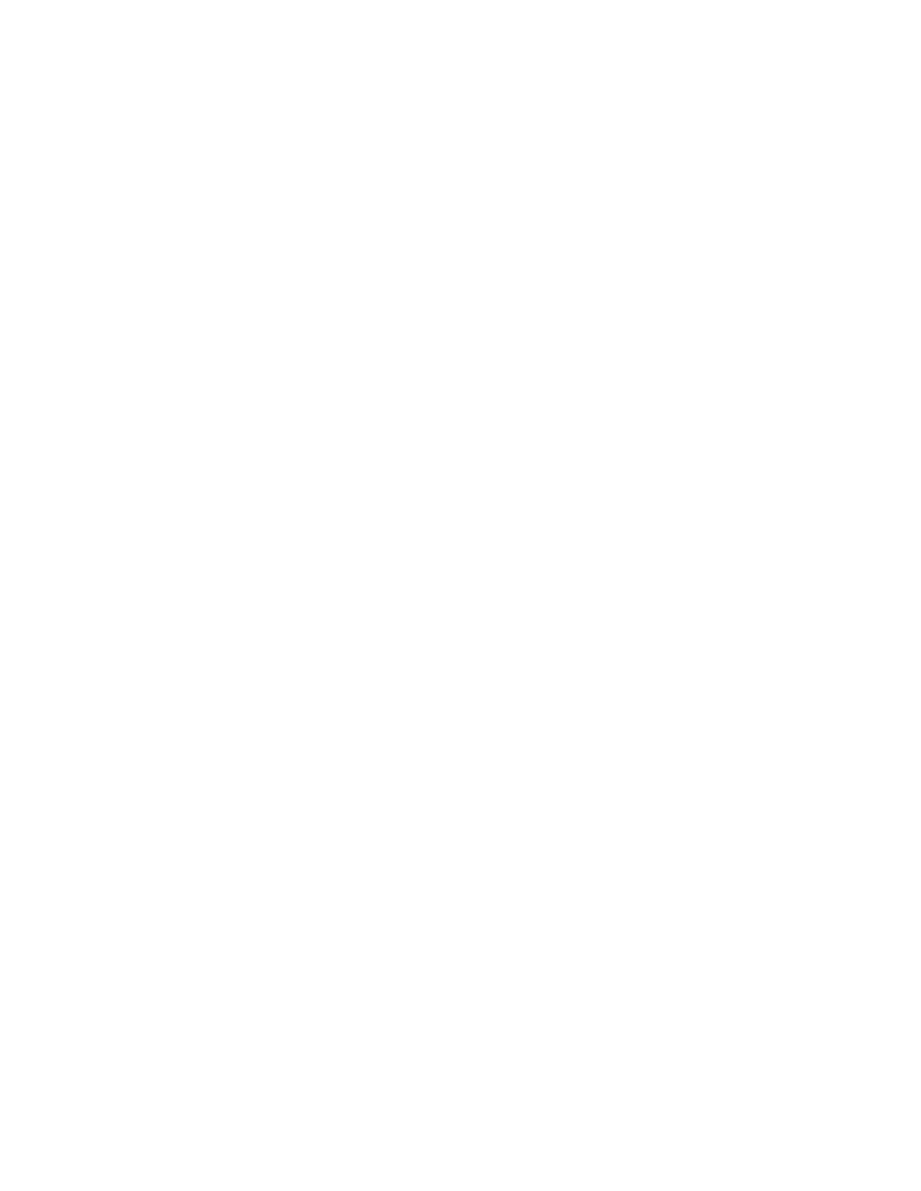| $-6+$                               | %DVH6FRUHFDLG & + &                                                              |  |
|-------------------------------------|----------------------------------------------------------------------------------|--|
| RRG /3 7UHLQHQ<br>$8 + 8$ UHF<br>6Y | % UDOWLV& + & 7RS & ROMMEXWRULQ: LQ + DUSHU: 6 + LV * DP H7RS & ROMMEXWRULQ ORVV |  |

| $: 6+$ %DVH6FRUH 30D NU 6FRUHE %DWLQJ 2 UGHU<br>$8 + 8$<br>: $6+$ # $8+8$ |        |                              |  |           |  |  |  |  |  |                                                                                    |  |
|---------------------------------------------------------------------------|--------|------------------------------|--|-----------|--|--|--|--|--|------------------------------------------------------------------------------------|--|
| : 3 : RRG / 3 7 UHQHQ 6Y & + & UHF                                        |        |                              |  |           |  |  |  |  |  | % UIDOWLV & + & 7RS & ROWLEXWRULQ: LQ + DUSHU : 6+ LV * DP H7RS & ROWLEXWRULQ ORVV |  |
|                                                                           |        |                              |  | %DW2 UGHU |  |  |  |  |  |                                                                                    |  |
| 300 HU                                                                    | 7HDP   | 3 RVIMRQ                     |  |           |  |  |  |  |  |                                                                                    |  |
| $+$ DLSHU                                                                 | $: 6+$ | 5)                           |  |           |  |  |  |  |  |                                                                                    |  |
| (VSLORVD                                                                  | $: 6+$ | 66                           |  |           |  |  |  |  |  |                                                                                    |  |
| 5 DP RV                                                                   | $: 6+$ | &                            |  |           |  |  |  |  |  |                                                                                    |  |
| 5 HQGRQ                                                                   | $: 6+$ | %                            |  |           |  |  |  |  |  |                                                                                    |  |
| 5 HYHUH                                                                   | $: 6+$ | $8)$ ()                      |  |           |  |  |  |  |  |                                                                                    |  |
| $=$ IP PHJP DQ                                                            | $: 6+$ | %                            |  |           |  |  |  |  |  |                                                                                    |  |
| 0 XUSK                                                                    | $: 6+$ | %                            |  |           |  |  |  |  |  |                                                                                    |  |
| 5 RDUN                                                                    | $: 6+$ | 3                            |  |           |  |  |  |  |  |                                                                                    |  |
| 5 DP RV 5 RVV                                                             | $: 6+$ | & 35                         |  |           |  |  |  |  |  |                                                                                    |  |
| 3HMWV                                                                     | $: 6+$ | 3 5 HO                       |  |           |  |  |  |  |  |                                                                                    |  |
| $'$ UHZ                                                                   | $: 6+$ | $3+$                         |  |           |  |  |  |  |  |                                                                                    |  |
| $+HWH$                                                                    | $: 6+$ | $3+$                         |  |           |  |  |  |  |  |                                                                                    |  |
| 7D QRU                                                                    | $: 6+$ | &) ' VXE                     |  |           |  |  |  |  |  |                                                                                    |  |
| $:$ HUM                                                                   | $: 6+$ | $\left( \frac{1}{2} \right)$ |  |           |  |  |  |  |  |                                                                                    |  |

|                     |           |                   |                            |                  |          |           | : 6+ 6 FRUH%R[ 30D\HU7RWDOV<br>\$ <sub>⑤</sub> |          |                                                                                  |  |               |              |                   |
|---------------------|-----------|-------------------|----------------------------|------------------|----------|-----------|------------------------------------------------|----------|----------------------------------------------------------------------------------|--|---------------|--------------|-------------------|
|                     |           |                   | $: 3 : RRG \t/3 7UHQHQ 6Y$ |                  | $8+8$ UF |           |                                                |          | % UIDOWL & + & 7RS & ROWLEXWRULQ: LQ + DUSHU: 6+ LV * DP H7RS & ROWLEXWRULQ ORVV |  |               |              |                   |
|                     |           |                   | %DWIQU<br>$2$ LGHU         |                  |          |           |                                                |          |                                                                                  |  |               |              |                   |
| 30 NU               |           | 7HDP 3RVMLIRQ     | 1 EU                       | & UHGLIV) RU5 XQ |          | 3\$ %DVHV |                                                | %5 %DVHV | %DVHV3XVKHG                                                                      |  | 300 HU 6 FRUH | \$SSHDUDGFHV | 3 URGXFVMUW 5 DVM |
| + DUSHU             | $: 6+ 5)$ |                   |                            |                  |          |           |                                                |          |                                                                                  |  |               |              |                   |
| ( VSIQRVD           | $: 6+66$  |                   |                            |                  |          |           |                                                |          |                                                                                  |  |               |              |                   |
| 5 DP RV             | $: 6 + 8$ |                   |                            |                  |          |           |                                                |          |                                                                                  |  |               |              |                   |
| 5 HOGRO             | $: 6 + %$ |                   |                            |                  |          |           |                                                |          |                                                                                  |  |               |              |                   |
| 5 HMHUH             |           | $: 6+ 8)$ ()      |                            |                  |          |           |                                                |          |                                                                                  |  |               |              |                   |
| $=$ IPPHJPDQ : 6+ % |           |                   |                            |                  |          |           |                                                |          |                                                                                  |  |               |              |                   |
| 0 XUSK              | $: 6 + %$ |                   |                            |                  |          |           |                                                |          |                                                                                  |  |               |              |                   |
| 5 RDUN              | $: 6+3$   |                   |                            |                  |          |           |                                                |          |                                                                                  |  |               |              |                   |
| 5DPRV5RW : 6+ & 35  |           |                   |                            |                  |          |           |                                                |          |                                                                                  |  |               |              |                   |
| 3 HWV               |           | $: 6+35HD$        |                            |                  |          |           |                                                |          |                                                                                  |  |               |              |                   |
| $^{\prime}$ UHZ     | $: 6+ 3+$ |                   |                            |                  |          |           |                                                |          |                                                                                  |  |               |              |                   |
| $+HM$               | $: 6+ 3+$ |                   |                            |                  |          |           |                                                |          |                                                                                  |  |               |              |                   |
| 7D QRU              |           | : $6 + 8$ ) ' VXE |                            |                  |          |           |                                                |          |                                                                                  |  |               |              |                   |
| : HUM               | $: 6 + /$ |                   |                            |                  |          |           |                                                |          |                                                                                  |  |               |              |                   |
| 7RWDOV              |           |                   |                            |                  |          |           |                                                |          |                                                                                  |  |               |              |                   |